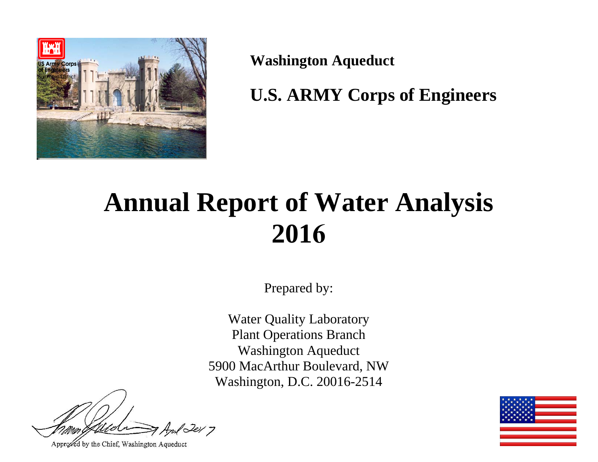

**Washington Aqueduct** 

**U.S. ARMY Corps of Engineers** 

# **Annual Report of Water Analysis 2016**

Prepared by:

Water Quality Laboratory Plant Operations Branch Washington Aqueduct 5900 MacArthur Boulevard, NW Washington, D.C. 20016-2514

1er 7

Approved by the Chief, Washington Aqueduct

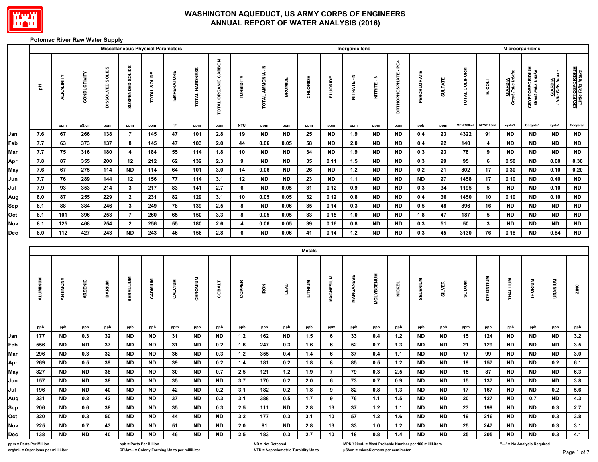

#### **Potomac River Raw Water Supply**

|            |                         |            |              |                  |                         | <b>Miscellaneous Physical Parameters</b> |                     |                |                      |                         |                          |                |               |                 | Inorganic lons |                   |                                                      |                    |                |                |                 |                                      | Microorganisms                               |                                |                                               |
|------------|-------------------------|------------|--------------|------------------|-------------------------|------------------------------------------|---------------------|----------------|----------------------|-------------------------|--------------------------|----------------|---------------|-----------------|----------------|-------------------|------------------------------------------------------|--------------------|----------------|----------------|-----------------|--------------------------------------|----------------------------------------------|--------------------------------|-----------------------------------------------|
|            | $\frac{\pi}{2}$         | ALKALINITY | CONDUCTIVITY | DISSOLVED SOLIDS | SUSPENDED SOLIDS        | <b>TOTAL SOLIDS</b>                      | <b>TEMPERATURE</b>  | TOTAL HARDNESS | TOTAL ORGANIC CARBON | TURBIDITY               | TOTAL AMMONIA - N        | <b>BROMIDE</b> | CHLORIDE      | <b>FLUORIDE</b> | NITRATE-N      | NITRITE - N       | ORTHOPHOSPHATE-PO4                                   | <b>PERCHLORATE</b> | <b>SULFATE</b> | TOTAL COLIFORM | F COLL          | <b>GIARDIA</b><br>Great Falls Intake | <b>CRYPTOSPORIDIUM</b><br>Great Falls Intake | GIARDIA<br>Little Falls Intake | <b>CRYPTOSPORIDIUM</b><br>Little Falls Intake |
|            |                         | ppm        | uS/cm        | ppm              | ppm                     | ppm                                      | $^\circ \mathsf{F}$ | ppm            | ppm                  | <b>NTU</b>              | ppm                      | ppm            | ppm           | ppm             | ppm            | ppm               | ppm                                                  | ppb                | ppm            | MPN/100mL      | MPN/100mL       | cysts/L                              | Oocysts/L                                    | cysts/L                        | Oocysts/L                                     |
| Jan        | 7.6                     | 67         | 266          | 138              | $\overline{7}$          | 145                                      | 47                  | 101            | 2.8                  | 19                      | <b>ND</b>                | ND             | 25            | <b>ND</b>       | 1.9            | <b>ND</b>         | <b>ND</b>                                            | 0.4                | 23             | 4322           | 91              | <b>ND</b>                            | ND                                           | <b>ND</b>                      | <b>ND</b>                                     |
| Feb        | 7.7                     | 63         | 373          | 137              | 8                       | 145                                      | 47                  | 103            | 2.0                  | 44                      | 0.06                     | 0.05           | 58            | <b>ND</b>       | $2.0\,$        | <b>ND</b>         | <b>ND</b>                                            | 0.4                | 22             | 140            | 4               | <b>ND</b>                            | ND                                           | <b>ND</b>                      | <b>ND</b>                                     |
| Mar        | 7.7                     | 75         | 316          | 180              | $\overline{\mathbf{4}}$ | 184                                      | 55                  | 114            | 1.8                  | 10                      | <b>ND</b>                | ND             | 34            | <b>ND</b>       | 1.9            | <b>ND</b>         | <b>ND</b>                                            | 0.3                | 23             | 78             | $\pmb{9}$       | <b>ND</b>                            | <b>ND</b>                                    | <b>ND</b>                      | ND                                            |
| Apr        | 7.8                     | 87         | 355          | 200              | $12\,$                  | 212                                      | 62                  | 132            | 2.3                  | 9                       | <b>ND</b>                | ND             | 35            | 0.11            | 1.5            | <b>ND</b>         | <b>ND</b>                                            | 0.3                | 29             | 95             | 6               | 0.50                                 | <b>ND</b>                                    | 0.60                           | $\bf 0.30$                                    |
| May        | 7.6                     | 67         | 275          | 114              | $\sf ND$                | 114                                      | 64                  | 101            | 3.0                  | 14                      | 0.06                     | ND             | 26            | <b>ND</b>       | $1.2$          | <b>ND</b>         | <b>ND</b>                                            | 0.2                | 21             | 802            | $17\,$          | 0.30                                 | <b>ND</b>                                    | 0.10                           | $\bf 0.20$                                    |
| Jun        | 7.7                     | 76         | 289          | 144              | 12                      | 156                                      | 77                  | 114            | 3.1                  | 12                      | <b>ND</b>                | ND             | 23            | <b>ND</b>       | $1.1$          | <b>ND</b>         | <b>ND</b>                                            | <b>ND</b>          | 27             | 1458           | $17\,$          | 0.10                                 | <b>ND</b>                                    | 0.40                           | ${\sf ND}$                                    |
| Jul        | 7.9                     | 93         | 353          | 214              | 3 <sub>1</sub>          | 217                                      | 83                  | 141            | 2.7                  | 6                       | <b>ND</b>                | 0.05           | 31            | 0.12            | 0.9            | <b>ND</b>         | <b>ND</b>                                            | 0.3                | $34\,$         | 1195           | $5\phantom{.0}$ | <b>ND</b>                            | <b>ND</b>                                    | 0.10                           | <b>ND</b>                                     |
| Aug        | 8.0                     | 87         | 255          | 229              | $\mathbf{2}$            | 231                                      | 82                  | 129            | 3.1                  | 10                      | 0.05                     | 0.05           | 32            | 0.12            | 0.8            | <b>ND</b>         | <b>ND</b>                                            | 0.4                | 36             | 1450           | ${\bf 10}$      | 0.10                                 | <b>ND</b>                                    | 0.10                           | <b>ND</b>                                     |
| Sep        | 8.1                     | 88         | 384          | 246              | $\mathbf{3}$            | 249                                      | 78                  | 139            | 2.5                  | 8                       | <b>ND</b>                | 0.06           | 35            | 0.14            | 0.3            | <b>ND</b>         | <b>ND</b>                                            | 0.5                | 48             | 896            | 16              | <b>ND</b>                            | ND                                           | <b>ND</b>                      | ND                                            |
| Oct        | 8.1                     | 101        | 396          | 253              | $\overline{7}$          | 260                                      | 65                  | 150            | 3.3                  | 8                       | 0.05                     | 0.05           | 33            | 0.15            | $1.0$          | <b>ND</b>         | <b>ND</b>                                            | 1.8                | 47             | 187            | $5\phantom{.0}$ | <b>ND</b>                            | <b>ND</b>                                    | <b>ND</b>                      | ND                                            |
| <b>Nov</b> | 8.1                     | 125        | 468          | 254              | $\mathbf{2}$            | 256                                      | 55                  | 180            | 2.6                  | $\overline{\mathbf{4}}$ | 0.06                     | 0.05           | 39            | 0.16            | 0.8            | <b>ND</b>         | <b>ND</b>                                            | 0.3                | 51             | 50             | $\mathbf{3}$    | <b>ND</b>                            | <b>ND</b>                                    | <b>ND</b>                      | ND                                            |
| Dec        | 8.0                     | 112        | 427          | 243              | <b>ND</b>               | 243                                      | 46                  | 156            | 2.8                  | 6                       | <b>ND</b>                | 0.06           | 41            | 0.14            | $1.2$          | <b>ND</b>         | <b>ND</b>                                            | 0.3                | 45             | 3130           | 76              | 0.18                                 | ND                                           | 0.84                           | ND                                            |
|            |                         |            |              |                  |                         |                                          |                     |                |                      |                         |                          |                |               |                 |                |                   |                                                      |                    |                |                |                 |                                      |                                              |                                |                                               |
|            |                         |            |              |                  |                         |                                          |                     |                |                      |                         |                          |                | <b>Metals</b> |                 |                |                   |                                                      |                    |                |                |                 |                                      |                                              |                                |                                               |
|            | <b>ALUMINUM</b>         | ANTIMONY   | ARSENIC      | <b>BARIUM</b>    | <b>BERYLLIUM</b>        | CADMIUM                                  | CALCIUM             | CHROMIUM       | COBALT               | COPPER                  | <b>IRON</b>              | <b>TEAD</b>    | LITHIUM       | MAGNESIUM       | MANGANESE      | <b>MOLYBDENUM</b> | <b>NICKEL</b>                                        | <b>SELENIUM</b>    | <b>SILVER</b>  | MUNOS          | STRONTIUM       | THALLIUM                             | THORIUM                                      | URANIUM                        | ZINC                                          |
|            | ppb                     | ppb        | ppb          | ppb              | ppb                     | ppb                                      | ppm                 | ppb            | ppb                  | ppb                     | ppb                      | ppb            | ppb           | ppm             | ppb            | ppb               | ppb                                                  | ppb                | ppb            | ppm            | ppb             | ppb                                  | ppb                                          | ppb                            | ppb                                           |
| Jan        | 177                     | <b>ND</b>  | 0.3          | 32               | <b>ND</b>               | <b>ND</b>                                | 31                  | <b>ND</b>      | <b>ND</b>            | $1.2$                   | 162                      | <b>ND</b>      | $1.5$         | 6               | 33             | 0.4               | $1.2$                                                | <b>ND</b>          | <b>ND</b>      | 15             | 124             | <b>ND</b>                            | <b>ND</b>                                    | <b>ND</b>                      | $3.2\,$                                       |
| Feb        | 556                     | <b>ND</b>  | <b>ND</b>    | 37               | <b>ND</b>               | <b>ND</b>                                | 31                  | <b>ND</b>      | 0.2                  | 1.6                     | 247                      | 0.3            | 1.6           | 6               | 52             | 0.7               | $1.3$                                                | <b>ND</b>          | <b>ND</b>      | 21             | 129             | <b>ND</b>                            | <b>ND</b>                                    | <b>ND</b>                      | $3.5\,$                                       |
| Mar        | 296                     | <b>ND</b>  | 0.3          | 32               | <b>ND</b>               | <b>ND</b>                                | 36                  | <b>ND</b>      | 0.3                  | $1.2$                   | 355                      | 0.4            | 1.4           | 6               | 37             | 0.4               | 1.1                                                  | <b>ND</b>          | <b>ND</b>      | 17             | 99              | <b>ND</b>                            | <b>ND</b>                                    | <b>ND</b>                      | $3.0\,$                                       |
| Apr        | 269                     | <b>ND</b>  | 0.5          | 39               | <b>ND</b>               | <b>ND</b>                                | 39                  | <b>ND</b>      | 0.2                  | 1.4                     | 181                      | 0.2            | 1.8           | 8               | 85             | 0.5               | $1.2$                                                | <b>ND</b>          | <b>ND</b>      | 19             | 157             | <b>ND</b>                            | <b>ND</b>                                    | 0.2                            | $6.1\,$                                       |
| May        | 827                     | <b>ND</b>  | <b>ND</b>    | 38               | <b>ND</b>               | <b>ND</b>                                | 30                  | <b>ND</b>      | 0.7                  | 2.5                     | 121                      | $1.2\,$        | 1.9           | $\overline{7}$  | 79             | 0.3               | 2.5                                                  | <b>ND</b>          | <b>ND</b>      | 15             | 87              | <b>ND</b>                            | <b>ND</b>                                    | <b>ND</b>                      | $\bf 6.3$                                     |
| Jun        | 157                     | <b>ND</b>  | <b>ND</b>    | 38               | <b>ND</b>               | <b>ND</b>                                | 35                  | <b>ND</b>      | <b>ND</b>            | 3.7                     | 170                      | 0.2            | 2.0           | 6               | 73             | 0.7               | 0.9                                                  | <b>ND</b>          | <b>ND</b>      | 15             | 137             | <b>ND</b>                            | <b>ND</b>                                    | <b>ND</b>                      | $3.8\,$                                       |
| Jul        | 196                     | ND         | ND           | 40               | <b>ND</b>               | <b>ND</b>                                | 42                  | ND             | 0.2                  | 3.1                     | 182                      | 0.2            | 1.8           | 9               | 82             | 0.8               | 1.3                                                  | <b>ND</b>          | <b>ND</b>      | 17             | 167             | <b>ND</b>                            | ND                                           | 0.2                            | 5.6                                           |
| Aug        | 331                     | ND         | 0.2          | 42               | <b>ND</b>               | <b>ND</b>                                | 37                  | <b>ND</b>      | 0.3                  | 3.1                     | 388                      | 0.5            | 1.7           | 9               | 76             | 1.1               | 1.5                                                  | ND                 | <b>ND</b>      | 20             | 127             | <b>ND</b>                            | 0.7                                          | <b>ND</b>                      | 4.3                                           |
| Sep        | 206                     | ND         | 0.6          | 38               | ND                      | <b>ND</b>                                | 35                  | <b>ND</b>      | 0.3                  | 2.5                     | 111                      | ND             | 2.8           | 13              | 37             | 1.2               | 1.1                                                  | ND                 | ND             | 23             | 199             | ND.                                  | ND                                           | 0.3                            | 2.7                                           |
| Oct        | 320                     | ND.        | 0.3          | 50               | ND                      | <b>ND</b>                                | 44                  | <b>ND</b>      | <b>ND</b>            | 3.2                     | 177                      | 0.3            | 3.1           | 10              | 57             | 1.2               | 1.6                                                  | ND                 | ND             | 19             | 216             | ND.                                  | ND                                           | 0.3                            | 3.8                                           |
| Nov        | 225                     | ND         | 0.7          | 43               | ND                      | <b>ND</b>                                | 51                  | ND             | <b>ND</b>            | 2.0                     | 81                       | ND             | 2.8           | 13              | 33             | 1.0               | $1.2$                                                | ND                 | ND             | 25             | 247             | ND                                   | ND                                           | 0.3                            | 3.1                                           |
| Dec        | 138                     | <b>ND</b>  | <b>ND</b>    | 40               | ND                      | <b>ND</b>                                | 46                  | <b>ND</b>      | <b>ND</b>            | 2.5                     | 183                      | 0.3            | 2.7           | 10              | 18             | 0.8               | 1.4                                                  | ND                 | ND             | 25             | 205             | <b>ND</b>                            | <b>ND</b>                                    | 0.3                            | 4.1                                           |
|            | ppm = Parts Per Million |            |              |                  | ppb = Parts Per Billion |                                          |                     |                |                      |                         | <b>ND = Not Detected</b> |                |               |                 |                |                   | MPN/100mL = Most Probable Number per 100 milliLiters |                    |                |                |                 |                                      | "---" = No Analysis Required                 |                                |                                               |

**org/mL = Organisms per milliLiter CFU/mL = Colony Forming Units per milliLiter NTU = Nephelometric Turbidity Units μS/cm = microSiemens per centimeter**

Page 1 of 7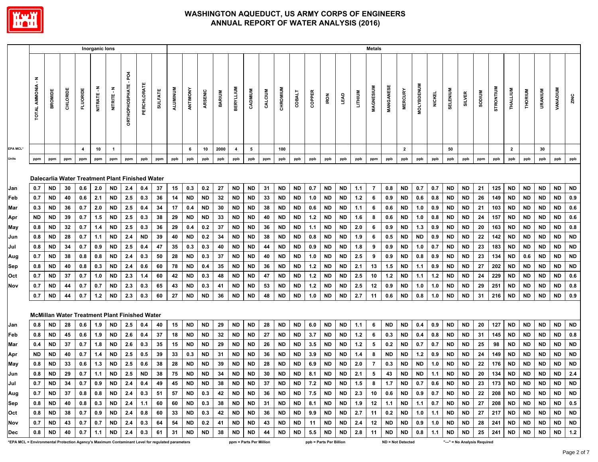

|                                                                                                        |                           |            |          |                  | Inorganic lons |                     |                                   |                                                      |                |          |            |            |               |                  |                         |          |           |                 |                                |             |             |            | <b>Metals</b> |            |                          |                   |               |                 |                  |                                    |            |                |           |           |                 |                  |
|--------------------------------------------------------------------------------------------------------|---------------------------|------------|----------|------------------|----------------|---------------------|-----------------------------------|------------------------------------------------------|----------------|----------|------------|------------|---------------|------------------|-------------------------|----------|-----------|-----------------|--------------------------------|-------------|-------------|------------|---------------|------------|--------------------------|-------------------|---------------|-----------------|------------------|------------------------------------|------------|----------------|-----------|-----------|-----------------|------------------|
|                                                                                                        | Ŧ<br><b>TOTAL AMMONIA</b> | BROMIDE    | CHLORID  | <b>FLUORIDE</b>  | z<br>NITRATE-  | z<br><b>NITRITE</b> | PO <sub>4</sub><br>ORTHOPHOSPHATE | PERCHLORAT                                           | <b>SULFATE</b> | ALUMINUM | ANTIMONY   | ARSENIC    | <b>BARIUM</b> | <b>BERYLLIUM</b> | CADMIUM                 | CALCIUM  | CHROMIUM  | COBALT          | COPPER                         | <b>IRON</b> | <b>LEAD</b> | LITHIUM    | MAGNESIUM     | MANGANES   | <b>MERCURY</b>           | <b>MOLYBDENUM</b> | <b>NICKEL</b> | <b>SELENIUM</b> | <b>SILVER</b>    | <b>MUNQOS</b>                      | STRONTIUM  | THALLIUM       | THORIUM   | URANIUM   | <b>VANADIUM</b> | ZINC             |
| <b>EPA MCL*</b>                                                                                        |                           |            |          | $\boldsymbol{4}$ | 10             | $\mathbf{1}$        |                                   |                                                      |                |          | 6          | 10         | 2000          | $\overline{a}$   | 5                       |          | 100       |                 |                                |             |             |            |               |            | $\overline{2}$           |                   |               | 50              |                  |                                    |            | $\overline{2}$ |           | 30        |                 |                  |
| <b>Units</b>                                                                                           | ppm                       | ppm        | ppm      | ppm              | ppm            | ppm                 | ppm                               | ppb                                                  | ppm            | ppb      | ppb        | ppb        | ppb           | ppb              | ppb                     | ppm      | ppb       | ppb             | ppb                            | ppb         | ppb         | ppb        | ppm           | ppb        | ppb                      | ppb               | ppb           | ppb             | ppb              | ppm                                | ppb        | ppb            | ppb       | ppb       | ppb             | ppb              |
|                                                                                                        |                           |            |          |                  |                |                     |                                   | Dalecarlia Water Treatment Plant Finished Water      |                |          |            |            |               |                  |                         |          |           |                 |                                |             |             |            |               |            |                          |                   |               |                 |                  |                                    |            |                |           |           |                 |                  |
| IJan                                                                                                   | 0.7                       | ND         | 30       | 0.6              | 2.0            | ND                  | 2.4                               | 0.4                                                  | 37             | 15       | 0.3        | 0.2        | 27            | <b>ND</b>        | <b>ND</b>               | 31       | <b>ND</b> | ND              | 0.7                            | ND          | ND          | 1.1        | 7             | 0.8        | <b>ND</b>                | 0.7               | 0.7           | ND              | ND               | 21                                 | 125        | ND             | ND        | ND        | <b>ND</b>       | <b>ND</b>        |
| Feb                                                                                                    | 0.7                       | ND.        | 40       | 0.6              | 2.1            | ND                  | 2.5                               | 0.3                                                  | 36             | 14       | <b>ND</b>  | <b>ND</b>  | 32            | ND.              | ND.                     | 33       | ND.       | <b>ND</b>       | 1.0                            | ND          | ND          | 1.2        | 6             | 0.9        | ND.                      | 0.6               | 0.8           | ND.             | <b>ND</b>        | 26                                 | 149        | ND             | ND.       | ND.       | ND.             | 0.9              |
| Mar                                                                                                    | 0.3                       | ND.        | 36       | 0.7              | 2.0            | ND.                 | 2.5                               | 0.4                                                  | 34             | 17       | 0.4        | ND         | 30            | ND.              | ND                      | 38       | <b>ND</b> | ND              | 0.6                            | ND          | ND          | 1.1        | 6             | 0.6        | ND.                      | 1.0               | 0.9           | ND              | <b>ND</b>        | 21                                 | 103        | ND             | <b>ND</b> | <b>ND</b> | <b>ND</b>       | 0.6              |
| Apr                                                                                                    | ND.                       | ND.        | 39       | 0.7              | 1.5            | ND                  | 2.5                               | 0.3                                                  | 38             | 29       | <b>ND</b>  | <b>ND</b>  | 33            | ND.              | ND.                     | 40       | <b>ND</b> | <b>ND</b>       | 1.2                            | ND          | ND          | 1.6        | 8             | 0.6        | ND.                      | 1.0               | 0.8           | ND.             | <b>ND</b>        | 24                                 | 157        | ND             | <b>ND</b> | <b>ND</b> | <b>ND</b>       | 0.6              |
| May                                                                                                    | 0.8                       | ND         | 32       | 0.7<br>0.7       | 1.4            | ND                  | 2.5                               | 0.3                                                  | 36             | 29       | 0.4<br>ND. | 0.2        | 37            | ND<br>ND.        | ND<br>ND.               | 36       | ND<br>ND. | ND<br>ND.       | 1.1                            | ND          | ND<br>ND.   | 2.0        | 6<br>6        | 0.9        | ND                       | 1.3               | 0.9           | ND.             | ND               | 20                                 | 163        | ND             | ND        | ND        | ND              | 0.8<br><b>ND</b> |
| Jun<br>Jul                                                                                             | 0.8<br>0.8                | ND.<br>ND. | 28<br>34 | 0.7              | 1.1<br>0.9     | ND<br><b>ND</b>     | 2.4<br>2.5                        | ND<br>0.4                                            | 39<br>47       | 40<br>35 | 0.3        | 0.2<br>0.3 | 34<br>40      | <b>ND</b>        | <b>ND</b>               | 38<br>44 | <b>ND</b> | <b>ND</b>       | 0.8<br>0.9                     | ND<br>ND    | <b>ND</b>   | 1.9<br>1.8 | 9             | 0.5<br>0.9 | ND.<br>ND .              | ND<br>1.0         | 0.9<br>0.7    | ND<br>ND.       | <b>ND</b><br>ND. | 22<br>23                           | 142<br>183 | ND<br>ND.      | ND<br>ND. | ND<br>ND. | ND<br>ND.       | <b>ND</b>        |
| Aug                                                                                                    | 0.7                       | ND         | 38       | 0.8              | 0.8            | ND.                 | 2.4                               | 0.3                                                  | 50             | 28       | <b>ND</b>  | 0.3        | 37            | ND.              | ND.                     | 40       | ND        | ND              | 1.0                            | ND          | ND          | 2.5        | 9             | 0.9        | ND.                      | 0.8               | 0.9           | ND              | <b>ND</b>        | 23                                 | 134        | ND             | 0.6       | ND.       | <b>ND</b>       | <b>ND</b>        |
| <b>Sep</b>                                                                                             | 0.8                       | ND.        | 40       | 0.8              | 0.3            | ND.                 | 2.4                               | 0.6                                                  | 60             | 78       | ND.        | 0.4        | 35            | ND.              | ND.                     | 36       | ND.       | ND.             | 1.2                            | ND          | ND          | 2.1        | 13            | 1.5        | <b>ND</b>                | 1.1               | 0.9           | ND              | ND               | 27                                 | 202        | ND             | ND.       | ND.       | ND.             | <b>ND</b>        |
| Oct                                                                                                    | 0.7                       | ND.        | 37       | 0.7              | 1.0            | ND.                 | 2.3                               | 1.4                                                  | 60             | 42       | <b>ND</b>  | 0.3        | 48            | <b>ND</b>        | <b>ND</b>               | 47       | ND        | ND              | 1.2                            | ND          | ND          | 2.5        | 10            | 1.2        | ND.                      | 1.1               | 1.2           | <b>ND</b>       | <b>ND</b>        | 24                                 | 229        | ND.            | ND        | ND        | <b>ND</b>       | 0.6              |
| Nov                                                                                                    | 0.7                       | ND         | 44       | 0.7              | 0.7            | ND                  | 2.3                               | 0.3                                                  | 65             | 43       | <b>ND</b>  | 0.3        | 41            | <b>ND</b>        | ND                      | 53       | ND        | ND              | $1.2$                          | ND          | ND          | 2.5        | 12            | 0.9        | ND                       | 1.0               | 1.0           | ND              | ND               | 29                                 | 251        | ND             | ND        | ND        | ND              | 0.8              |
|                                                                                                        | 0.7                       | <b>ND</b>  | 44       | 0.7              | 1.2            | ND                  | 2.3                               | 0.3                                                  | 60             | 27       | <b>ND</b>  | <b>ND</b>  | 36            | <b>ND</b>        | <b>ND</b>               | 48       | <b>ND</b> | <b>ND</b>       | 1.0                            | <b>ND</b>   | <b>ND</b>   | 2.7        | 11            | 0.6        | ND                       | 0.8               | 1.0           | <b>ND</b>       | <b>ND</b>        | 31                                 | 216        | ND             | ND        | ND        | ND              | 0.9              |
|                                                                                                        |                           |            |          |                  |                |                     |                                   | <b>McMillan Water Treatment Plant Finished Water</b> |                |          |            |            |               |                  |                         |          |           |                 |                                |             |             |            |               |            |                          |                   |               |                 |                  |                                    |            |                |           |           |                 |                  |
| Jan                                                                                                    | 0.8                       | ND         | 28       | 0.6              | 1.9            | ND.                 | 2.5                               | 0.4                                                  | 40             | 15       | ND.        | ND.        | 29            | ND.              | ND.                     | 28       | ND.       | ND.             | 6.0                            | ND.         | ND.         | 1.1        | 6             | ND.        | <b>ND</b>                | 0.4               | 0.9           | ND.             | ND               | 20                                 | 127        | ND.            | ND.       | ND.       | ND              | <b>ND</b>        |
| Feb                                                                                                    | 0.8                       | ND.        | 45       | 0.6              | 1.9            | ND                  | 2.6                               | 0.4                                                  | 37             | 18       | ND.        | ND.        | 32            | ND.              | ND.                     | 27       | ND.       | ND.             | 3.7                            | ND          | ND.         | 1.2        | 6             | 0.3        | ND .                     | 0.4               | 0.8           | ND.             | ND               | 31                                 | 145        | ND.            | ND.       | ND.       | <b>ND</b>       | 0.8              |
| Mar                                                                                                    | 0.4                       | ND         | 37       | 0.7              | 1.8            | ND.                 | 2.6                               | 0.3                                                  | 35             | 15       | ND         | <b>ND</b>  | 29            | ND               | ND                      | 26       | ND        | ND              | 3.5                            | ND          | ND          | 1.2        | 5             | 0.2        | ND                       | 0.7               | 0.7           | ND.             | <b>ND</b>        | 25                                 | 98         | ND             | ND        | ND        | ND              | <b>ND</b>        |
| Apr                                                                                                    | ND.                       | ND.        | 40       | 0.7              | 1.4            | ND.                 | 2.5                               | 0.5                                                  | 39             | 33       | 0.3        | ND         | 31            | ND               | ND                      | 36       | ND        | ND              | 3.9                            | ND          | ND          | 1.4        | 8             | ND         | ND                       | 1.2               | 0.9           | ND              | ND               | 24                                 | 149        | ND             | ND        | ND        | ND              | <b>ND</b>        |
| May                                                                                                    | 0.8                       | ND.        | 33       | 0.6              | 1.3            | ND.                 | 2.5                               | 0.6                                                  | 38             | 28       | <b>ND</b>  | <b>ND</b>  | 39            | <b>ND</b>        | <b>ND</b>               | 28       | <b>ND</b> | <b>ND</b>       | 6.9                            | ND          | ND          | 2.0        | 7             | 0.3        | ND.                      | ND.               | 1.0           | ND.             | <b>ND</b>        | 22                                 | 176        | ND             | ND.       | ND.       | <b>ND</b>       | <b>ND</b>        |
| Jun                                                                                                    | 0.8                       | ND         | 29       | 0.7              | 1.1            | ND                  | 2.5                               | <b>ND</b>                                            | 38             | 75       | <b>ND</b>  | <b>ND</b>  | 34            | <b>ND</b>        | <b>ND</b>               | 30       | <b>ND</b> | <b>ND</b>       | 8.1                            | <b>ND</b>   | <b>ND</b>   | 2.1        | 5             | 43         | <b>ND</b>                | <b>ND</b>         | 1.1           | <b>ND</b>       | <b>ND</b>        | 20                                 | 134        | ND             | ND        | ND        | ND              | 2.4              |
| Jul                                                                                                    | 0.7                       | <b>ND</b>  | 34       | 0.7              | 0.9            | ND                  | 2.4                               | 0.4                                                  | 49             | 45       | <b>ND</b>  | ND         | 38            | <b>ND</b>        | ND                      | 37       | ND        | ND              | 7.2                            | ND          | ND          | 1.5        | 8             | 1.7        | ND                       | 0.7               | 0.6           | ND              | ND               | 23                                 | 173        | ND             | ND        | ND        | ND              | ND               |
| Aug                                                                                                    | 0.7                       | ND.        | 37       | 0.8              | 0.8            | ND.                 | 2.4                               | 0.3                                                  | 51             | 57       | ND.        | 0.3        | 42            | ND.              | ND                      | 36       | ND.       | ND.             | 7.5                            | ND.         | ND.         | 2.3        | 10            | 0.6        | ND .                     | 0.9               | 0.7           | ND.             | ND.              | 22                                 | 208        | ND .           | ND .      | ND.       | <b>ND</b>       | <b>ND</b>        |
| <b>Sep</b>                                                                                             | 0.8                       | ND.        | 40       | 0.8              | 0.3            | ND                  | 2.4                               | 1.1                                                  | 60             | 60       | <b>ND</b>  | 0.3        | 38            | ND               | ND                      | 31       | ND        | ND              | 8.1                            | ND          | ND          | 1.9        | 12            | 1.1        | <b>ND</b>                | 1.1               | 0.7           | ND              | ND               | 27                                 | 208        | <b>ND</b>      | ND        | ND        | ND              | 0.5              |
| Oct                                                                                                    | 0.8                       | ND         | 38       | 0.7              | 0.9            | ND                  | 2.4                               | 0.8                                                  | 60             | 33       | ND         | 0.3        | 42            | ND               | ND                      | 36       | ND        | ND              | 9.9                            | ND          | ND          | 2.7        | 11            | 0.2        | ND                       | 1.0               | 1.1           | ND              | ND.              | 27                                 | 217        | ND             | ND        | ND        | <b>ND</b>       | ND               |
| Nov                                                                                                    | 0.7                       | ND         | 43       | 0.7              | 0.7            | ND                  | 2.4                               | 0.3                                                  | 64             | 54       | ND         | 0.2        | 41            | ND               | ND<br><b>ND</b>         | 43       | ND        | ND<br><b>ND</b> | 11                             | ND          | ND          | 2.4        | 12            | ND.        | <b>ND</b>                | 0.9               | 1.0           | ND              | ND               | 28                                 | 241        | ND.            | ND        | ND        | ND              | <b>ND</b>        |
| Dec<br>*EPA MCL = Environmental Protection Agency's Maximum Contaminant Level for regulated parameters | 0.8                       | ND         | 40       | 0.7              | 1.1            | ND                  | 2.4                               | 0.3                                                  | 61             | 31       | <b>ND</b>  | <b>ND</b>  | 38            | <b>ND</b>        | ppm = Parts Per Million | 44       | <b>ND</b> |                 | 5.5<br>ppb = Parts Per Billion | ND          | <b>ND</b>   | 2.8        | 11            | ND         | ND.<br>ND = Not Detected | 0.8               | 1.1           | <b>ND</b>       | <b>ND</b>        | 25<br>"---" = No Analysis Required | 241        | ND             | ND        | ND        | <b>ND</b>       | $1.2$            |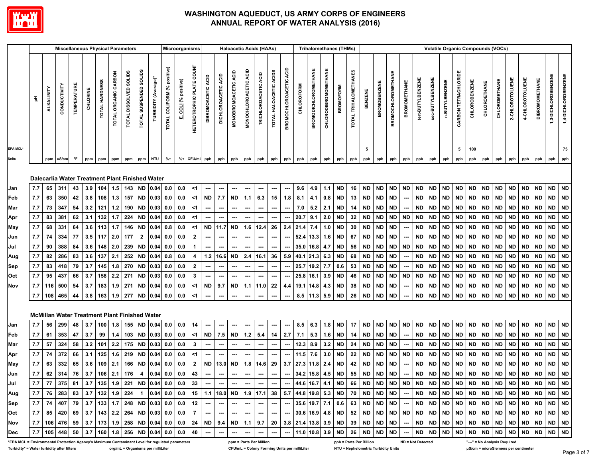

|                                                                                                 |            |                   | <b>Miscellaneous Physical Parameters</b>             |                   |            |                |                      |                        |                        |                                                                                 |                             | Microorganisms       |                                            |                           |                               |                                |                       | <b>Haloacetic Acids (HAAs)</b>                                                            |                                |                                  |            | <b>Trihalomethanes (THMs)</b> |                             |                  |                       |                         |                     |                           |                          |                  | <b>Volatile Organic Compounds (VOCs)</b> |                        |                        |                        |                        |                              |                        |                        |                        |                        |                        |
|-------------------------------------------------------------------------------------------------|------------|-------------------|------------------------------------------------------|-------------------|------------|----------------|----------------------|------------------------|------------------------|---------------------------------------------------------------------------------|-----------------------------|----------------------|--------------------------------------------|---------------------------|-------------------------------|--------------------------------|-----------------------|-------------------------------------------------------------------------------------------|--------------------------------|----------------------------------|------------|-------------------------------|-----------------------------|------------------|-----------------------|-------------------------|---------------------|---------------------------|--------------------------|------------------|------------------------------------------|------------------------|------------------------|------------------------|------------------------|------------------------------|------------------------|------------------------|------------------------|------------------------|------------------------|
|                                                                                                 |            | <b>ALKALINITY</b> | CONDUCTIVITY                                         | <b>TEMPERATUR</b> | CHLORINE   | TOTAL HARDNESS | TOTAL ORGANIC CARBON | TOTAL DISSOLVED SOLIDS | TOTAL SUSPENDED SOLIDS | TURBIDITY (Average)                                                             | TOTAL COLIFORM (% positive) | E. COLI (% positive) | <b>COUNT</b><br><b>HETEROTROPHIC PLATE</b> | <b>DIBROMOACETIC ACID</b> | ACID<br><b>DICHLOROACETIC</b> | ACID<br><b>MONOBROMOACETIC</b> | MONOCHLOROACETIC ACID | TRICHLOROACETIC ACID                                                                      | TOTAL HALOACETIC ACIDS         | ACID<br><b>BROMOCHLOROACETIC</b> | CHLOROFORM | <b>BROMODICHLOROMETHANE</b>   | <b>CHLORODIBROMOMETHANE</b> | <b>BROMOFORM</b> | TOTAL TRIHALOMETHANES | <b>BENZENE</b>          | <b>BROMOBENZENE</b> | <b>BROMOCHLOROMETHANE</b> | <b>BROMOMETHANE</b>      | tert-BUTYLBENZEN | sec-BUTYLBENZENE                         | n-BUTYLBENZENE         | CARBON TETRACHLORIDE   | <b>CHLOROBENZENE</b>   | CHLOROETHANE           | CHLOROMETHANE                | 2-CHLOROTOLUENE        | 4-CHLOROTOLUENE        | <b>DIBROMOMETHANE</b>  |                        | 1,4-DICHLOROBENZENE    |
| EPA MCL*                                                                                        |            |                   |                                                      |                   |            |                |                      |                        |                        |                                                                                 |                             |                      |                                            |                           |                               |                                |                       |                                                                                           |                                |                                  |            |                               |                             |                  |                       | 5                       |                     |                           |                          |                  |                                          |                        | 5                      | 100                    |                        |                              |                        |                        |                        |                        | 75                     |
| <b>Units</b>                                                                                    |            | ppm               | uS/cm                                                | $\mathsf{P}$      | ppm        | ppm            | ppm                  | ppm                    | ppm                    | <b>NTU</b>                                                                      | $% +$                       | $% +$                | CFU/mL                                     | ppb                       | ppb                           | ppb                            | ppb                   | ppb                                                                                       | ppb                            | ppb                              | ppb        | ppb                           | ppb                         | ppb              | ppb                   | ppb                     | ppb                 | ppb                       | ppb                      | ppb              | ppb                                      | ppb                    | ppb                    | ppb                    | ppb                    | ppb                          | ppb                    | ppb                    | ppb                    | ppb                    | ppb                    |
|                                                                                                 |            |                   |                                                      |                   |            |                |                      |                        |                        | Dalecarlia Water Treatment Plant Finished Water                                 |                             |                      |                                            |                           |                               |                                |                       |                                                                                           |                                |                                  |            |                               |                             |                  |                       |                         |                     | <b>ND</b>                 |                          | <b>ND</b>        | <b>ND</b>                                | <b>ND</b>              |                        | <b>ND</b>              |                        | <b>ND</b>                    |                        | <b>ND</b>              |                        |                        |                        |
| Jan                                                                                             | 7.7        | 65                | 311                                                  | 43                | 3.9        | 104            | 1.5                  | 143 ND                 |                        | 0.04                                                                            | 0.0                         | 0.0                  | $<$ 1                                      | ---                       | $\overline{\phantom{a}}$      | ---                            |                       | ---                                                                                       | $\overline{\phantom{a}}$<br>15 | ---                              | 9.6        | 4.9                           | 1.1                         | <b>ND</b>        | 16                    | <b>ND</b>               | <b>ND</b>           |                           | <b>ND</b>                |                  |                                          |                        | <b>ND</b>              |                        | <b>ND</b>              |                              | <b>ND</b>              |                        | <b>ND</b>              | <b>ND</b><br><b>ND</b> | <b>ND</b><br><b>ND</b> |
| Feb                                                                                             | 7.7<br>7.7 | 63<br>73          | 350<br>347                                           | 42<br>54          | 3.8<br>3.2 | 108<br>121     | 1.3<br>$1.2$         | 157<br>190             | <b>ND</b><br><b>ND</b> | 0.03<br>0.03                                                                    | 0.0<br>0.0                  | 0.0<br>0.0           | $<$ 1<br><1                                | <b>ND</b>                 | 7.7                           | ND                             | 1.1                   | 6.3                                                                                       |                                | 1.8                              | 8.1<br>7.0 | 4.1                           | 0.8<br>2.1                  | <b>ND</b><br>ND  | 13<br>14              | <b>ND</b><br><b>ND</b>  | <b>ND</b><br>ND     | <b>ND</b><br><b>ND</b>    |                          | <b>ND</b><br>ND  | <b>ND</b><br>ND                          | <b>ND</b><br><b>ND</b> | <b>ND</b><br><b>ND</b> | <b>ND</b><br><b>ND</b> | <b>ND</b><br><b>ND</b> | <b>ND</b><br>ND              | <b>ND</b><br><b>ND</b> | <b>ND</b><br><b>ND</b> | <b>ND</b><br><b>ND</b> | ND                     | <b>ND</b>              |
| Mar                                                                                             | 7.7        | 83                | 381                                                  | 62                | 3.1        | 132            | 1.7                  | 224                    | <b>ND</b>              | 0.04                                                                            | 0.0                         | 0.0                  | <1                                         |                           |                               | ---                            |                       |                                                                                           |                                |                                  | 20.7       | 5.2<br>9.1                    | 2.0                         | <b>ND</b>        | 32                    | <b>ND</b>               | <b>ND</b>           | <b>ND</b>                 | <b>ND</b>                | <b>ND</b>        | <b>ND</b>                                | <b>ND</b>              | <b>ND</b>              | <b>ND</b>              | <b>ND</b>              | <b>ND</b>                    | <b>ND</b>              | <b>ND</b>              | <b>ND</b>              | <b>ND</b>              | ND                     |
| Apr<br>May                                                                                      | 7.7        | 68                | 331                                                  | 64                | 3.6        | 113            | 1.7                  | 146                    | <b>ND</b>              | 0.04                                                                            | 0.8                         | 0.0                  | $<$ 1                                      | ND                        | 11.7                          | <b>ND</b>                      | 1.6                   | 12.4                                                                                      | 26                             | 2.4                              | 21.4       | 7.4                           | 1.0                         | ND.              | 30                    | <b>ND</b>               | ND                  | <b>ND</b>                 |                          | <b>ND</b>        | ND                                       | <b>ND</b>              | <b>ND</b>              | <b>ND</b>              | <b>ND</b>              | <b>ND</b>                    | <b>ND</b>              | <b>ND</b>              | <b>ND</b>              | <b>ND</b>              | <b>ND</b>              |
| Jun                                                                                             | 7.7        | 74                | 334                                                  | 77                | 3.5        | 117            | 2.0                  | 177                    | $\mathbf{2}$           | 0.04                                                                            | 0.0                         | 0.0                  | $\overline{2}$                             |                           | ---                           |                                |                       |                                                                                           |                                |                                  |            | 52.4 13.3                     | 1.6                         | ND               | 67                    | <b>ND</b>               | ND                  | <b>ND</b>                 |                          | <b>ND</b>        | ND                                       | <b>ND</b>              | <b>ND</b>              | <b>ND</b>              | <b>ND</b>              | <b>ND</b>                    | <b>ND</b>              | <b>ND</b>              | <b>ND</b>              | <b>ND</b>              | <b>ND</b>              |
| Jul                                                                                             | 7.7        | 90                | 388                                                  | 84                | 3.6        | 148            | 2.0                  | 239                    | <b>ND</b>              | 0.04                                                                            | 0.0                         | 0.0                  | $\blacktriangleleft$                       |                           |                               |                                |                       |                                                                                           | ---                            | ---                              |            | 35.0 16.8                     | 4.7                         | <b>ND</b>        | 56                    | <b>ND</b>               | ND                  | <b>ND</b>                 | <b>ND</b>                | <b>ND</b>        | <b>ND</b>                                | <b>ND</b>              | ND                     | <b>ND</b>              | <b>ND</b>              | <b>ND</b>                    | <b>ND</b>              | <b>ND</b>              | <b>ND</b>              | ND ND                  |                        |
| Aug                                                                                             | 7.7        | 82                | 286                                                  | 83                | 3.6        | 137            | 2.1                  | 252                    | <b>ND</b>              | 0.04                                                                            | 0.8                         | 0.0                  | 4                                          | 1.2                       | 16.6                          | ND                             | 2.4                   | 16.1                                                                                      | 36                             | 5.9                              |            | 40.1 21.3                     | 6.3                         | <b>ND</b>        | 68                    | <b>ND</b>               | ND                  | <b>ND</b>                 |                          | <b>ND</b>        | <b>ND</b>                                | <b>ND</b>              | <b>ND</b>              | <b>ND</b>              | <b>ND</b>              | <b>ND</b>                    | <b>ND</b>              | <b>ND</b>              | <b>ND</b>              | <b>ND</b>              | ND                     |
| Sep                                                                                             | 7.7        | 83                | 418                                                  | 79                | 3.7        | 145            | 1.8                  | 270                    | <b>ND</b>              | 0.03                                                                            | 0.0                         | 0.0                  | $\overline{\mathbf{2}}$                    |                           | ---                           | ---                            | ---                   | $\overline{\phantom{a}}$                                                                  |                                |                                  |            | 25.7 19.2                     | 7.7                         | 0.6              | 53                    | <b>ND</b>               | ND                  | <b>ND</b>                 |                          | <b>ND</b>        | <b>ND</b>                                | <b>ND</b>              | ND.                    | <b>ND</b>              | <b>ND</b>              | <b>ND</b>                    | <b>ND</b>              | <b>ND</b>              | <b>ND</b>              | <b>ND</b>              | <b>ND</b>              |
| Oct                                                                                             | 7.7        | 95                | 437                                                  | 66                | 3.7        | 158            | 2.2                  | 271                    | <b>ND</b>              | 0.03                                                                            | 0.0                         | 0.0                  | $\mathbf{3}$                               | ---                       | ---                           | ---                            | ---                   | ---                                                                                       | ---                            | ---                              |            | 25.8 16.1                     | 3.9                         | <b>ND</b>        | 46                    | <b>ND</b>               | <b>ND</b>           | <b>ND</b>                 | <b>ND</b>                | <b>ND</b>        | <b>ND</b>                                | <b>ND</b>              | <b>ND</b>              | <b>ND</b>              | <b>ND</b>              | <b>ND</b>                    | <b>ND</b>              | <b>ND</b>              | <b>ND</b>              | <b>ND</b>              | ND                     |
| Nov                                                                                             | 7.7        | 116               | 500                                                  | 54                | 3.7        | 183            | 1.9                  | 271                    | ND                     | 0.04                                                                            | 0.0                         | 0.0                  | <1                                         | ND                        | 9.7                           | ND                             | 1.1                   | 11.0                                                                                      | 22                             | 4.4                              | 19.1       | 14.8                          | 4.3                         | <b>ND</b>        | 38                    | <b>ND</b>               | ND                  | <b>ND</b>                 |                          | <b>ND</b>        | ND                                       | <b>ND</b>              | <b>ND</b>              | <b>ND</b>              | ND                     | <b>ND</b>                    | ND.                    | <b>ND</b>              | <b>ND</b>              | <b>ND</b>              | <b>ND</b>              |
|                                                                                                 | 7.7        | 108               | 465                                                  | 44                | 3.8        | 163            | 1.9                  | 277                    | <b>ND</b>              | 0.04                                                                            | 0.0                         | 0.0                  | <1                                         | ---                       | ---                           | $\hspace{0.05cm} \cdots$       | ---                   | $\hspace{0.05cm} \cdots$                                                                  | $\hspace{0.05cm} \cdots$       | ---                              |            | $8.5$   11.3                  | 5.9                         | <b>ND</b>        | 26                    | <b>ND</b>               | ND                  | <b>ND</b>                 |                          | <b>ND</b>        | ND.                                      | <b>ND</b>              | ND.                    | <b>ND</b>              | <b>ND</b>              | <b>ND</b>                    | <b>ND</b>              | <b>ND</b>              | <b>ND</b>              | <b>ND</b>              | <b>ND</b>              |
|                                                                                                 |            |                   | <b>McMillan Water Treatment Plant Finished Water</b> |                   |            |                |                      |                        |                        |                                                                                 |                             |                      |                                            |                           |                               |                                |                       |                                                                                           |                                |                                  |            |                               |                             |                  |                       |                         |                     |                           |                          |                  |                                          |                        |                        |                        |                        |                              |                        |                        |                        |                        |                        |
| Jan                                                                                             | 7.7        | 56                | 299                                                  | 48                | 3.7        | 100            | 1.8                  |                        | 155 ND                 | 0.04                                                                            | 0.0                         | 0.0                  | 14                                         | ---                       |                               |                                |                       |                                                                                           |                                | ---                              | 8.5        | 6.3                           | 1.8                         | <b>ND</b>        | 17                    | <b>ND</b>               | <b>ND</b>           | <b>ND</b>                 | <b>ND</b>                | <b>ND</b>        | <b>ND</b>                                | <b>ND</b>              | <b>ND</b>              | <b>ND</b>              | <b>ND</b>              | <b>ND</b>                    | <b>ND</b>              | <b>ND</b>              | <b>ND</b>              | <b>ND</b>              | <b>ND</b>              |
| Feb                                                                                             | 7.7        | 61                | 353                                                  | 47                | 3.7        | 99             | 1.4                  | 103                    | <b>ND</b>              | 0.03                                                                            | 0.0                         | 0.0                  | $<$ 1                                      | <b>ND</b>                 | 7.5                           | <b>ND</b>                      | $1.2$                 | 5.4                                                                                       | 14                             | 2.7                              | 7.1        | 5.3                           | 1.6                         | <b>ND</b>        | 14                    | <b>ND</b>               | <b>ND</b>           | <b>ND</b>                 |                          | <b>ND</b>        | <b>ND</b>                                | <b>ND</b>              | <b>ND</b>              | <b>ND</b>              | <b>ND</b>              | <b>ND</b>                    | <b>ND</b>              | <b>ND</b>              | <b>ND</b>              | <b>ND</b>              | <b>ND</b>              |
| Mar                                                                                             | 7.7        | 57                | 324                                                  | 58                | 3.2        | 101            | 2.2                  | 175                    | <b>ND</b>              | 0.03                                                                            | 0.0                         | 0.0                  | 3                                          |                           |                               | ---                            |                       |                                                                                           |                                |                                  | 12.3       | 8.9                           | 3.2                         | ND.              | 24                    | <b>ND</b>               | ND                  | <b>ND</b>                 |                          | <b>ND</b>        | ND                                       | <b>ND</b>              | <b>ND</b>              | <b>ND</b>              | <b>ND</b>              | <b>ND</b>                    | <b>ND</b>              | <b>ND</b>              | <b>ND</b>              | <b>ND</b>              | <b>ND</b>              |
| Apr                                                                                             | 7.7        | 74                | 372                                                  | 66                | 3.1        | 125            | 1.6                  | 219                    | <b>ND</b>              | 0.04                                                                            | 0.0                         | 0.0                  | <1                                         |                           |                               |                                |                       |                                                                                           |                                |                                  | 11.5       | 7.6                           | 3.0                         | <b>ND</b>        | 22                    | <b>ND</b>               | ND                  | <b>ND</b>                 | <b>ND</b>                | <b>ND</b>        | <b>ND</b>                                | <b>ND</b>              | <b>ND</b>              | <b>ND</b>              | <b>ND</b>              | <b>ND</b>                    | <b>ND</b>              | <b>ND</b>              | <b>ND</b>              | <b>ND</b>              | <b>ND</b>              |
| May                                                                                             | 7.7        | 63                | 332                                                  | 65                | 3.6        | 109            | 2.1                  | 166 ND                 |                        | 0.04                                                                            | 0.0                         | 0.0                  | $\mathbf{2}$                               | <b>ND</b>                 | 13.0                          | ND                             | 1.8                   | 14.6                                                                                      | 29                             | 3.7                              |            | 27.3 11.8                     | 2.4                         | <b>ND</b>        | 42                    | <b>ND</b>               | ND                  | <b>ND</b>                 |                          | <b>ND</b>        | ND                                       | <b>ND</b>              | ND                     | <b>ND</b>              | ND                     | <b>ND</b>                    | <b>ND</b>              | <b>ND</b>              | <b>ND</b>              | <b>ND</b>              | <b>ND</b>              |
| Jun                                                                                             | 7.7        | 62                | 314                                                  | 76                | 3.7        | 106            | 2.1                  | 176                    | 4                      | 0.04                                                                            | 0.0                         | 0.0                  | 43                                         | ---                       | $\hspace{0.05cm} \ldots$      | ---                            | ---                   | $\hspace{0.05cm} \cdots$                                                                  | ---                            | $\sim$                           |            | 34.2 15.8 4.5                 |                             | <b>ND</b>        | 55                    | <b>ND</b>               | <b>ND</b>           | <b>ND</b>                 | $\sim$                   | <b>ND</b>        | <b>ND</b>                                | <b>ND</b>              | <b>ND</b>              | <b>ND</b>              | <b>ND</b>              | <b>ND</b>                    | <b>ND</b>              | <b>ND</b>              | <b>ND</b>              | <b>ND</b>              | ND                     |
| Jul                                                                                             |            |                   |                                                      |                   |            |                |                      |                        |                        | 7.7   77   375   81   3.7   135   1.9   221   ND   0.04   0.0   0.0   33        |                             |                      |                                            | $-1$                      |                               | $-1$                           |                       |                                                                                           |                                |                                  |            |                               |                             |                  |                       |                         |                     |                           |                          |                  |                                          |                        |                        |                        |                        |                              |                        |                        |                        |                        |                        |
| Aug                                                                                             |            |                   |                                                      |                   |            |                |                      |                        |                        |                                                                                 |                             |                      |                                            |                           |                               |                                |                       |                                                                                           |                                |                                  |            |                               |                             |                  |                       |                         |                     |                           |                          |                  |                                          |                        |                        |                        |                        |                              |                        |                        |                        |                        |                        |
| Sep                                                                                             |            |                   |                                                      |                   |            |                |                      |                        |                        | 7.7 74 407 79 3.7 133 1.7 248 ND 0.03 0.0 0.0 12 - -                            |                             |                      |                                            |                           |                               |                                |                       |                                                                                           |                                |                                  |            |                               |                             |                  |                       |                         |                     |                           |                          |                  |                                          |                        |                        |                        |                        |                              |                        |                        |                        |                        |                        |
| Oct                                                                                             |            |                   |                                                      |                   |            |                |                      |                        |                        |                                                                                 |                             |                      |                                            |                           |                               |                                |                       |                                                                                           |                                |                                  |            |                               |                             |                  |                       |                         |                     |                           |                          |                  |                                          |                        |                        |                        |                        |                              |                        |                        |                        |                        |                        |
| Nov<br>Dec                                                                                      |            |                   |                                                      |                   |            |                |                      |                        |                        | 7.7   105   448   50   3.7   160   1.8   256   ND   0.04   0.0   0.0   40   --- |                             |                      |                                            |                           |                               | $\frac{1}{2}$                  |                       | $\vert \hspace{.1cm} \ldots \hspace{.1cm} \vert \hspace{.1cm} \ldots \hspace{.1cm} \vert$ |                                |                                  |            |                               |                             |                  |                       |                         |                     |                           |                          |                  |                                          |                        |                        |                        |                        |                              |                        |                        |                        |                        |                        |
| *EPA MCL = Environmental Protection Agency's Maximum Contaminant Level for regulated parameters |            |                   |                                                      |                   |            |                |                      |                        |                        |                                                                                 |                             |                      |                                            |                           |                               |                                |                       | ppm = Parts Per Million                                                                   |                                |                                  |            |                               |                             |                  |                       | ppb = Parts Per Billion |                     |                           | <b>ND = Not Detected</b> |                  |                                          |                        |                        |                        |                        | "---" = No Analysis Required |                        |                        |                        |                        |                        |

Turbidity\* = Water turbidity after filters org/mL = Organisms per milliLiter CFU/mL = Colony Forming Units per milliLiter NTU = Nephelometric Turbidity Units water turbidity that using units per centimeter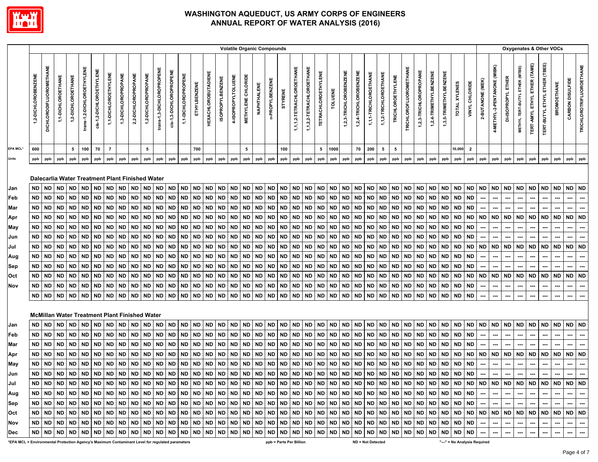

|                                                                           |                                                                                                                 |                                                                                                                                     |                                                                                                                                                          |                                                                                                                                                   |                                                                                                                                     |                                                                                                                |                                                                                                                                                          |                                                                                                                                            |                                                                                                                                                   |                                                                                                                                                                                                                                                              |                                                                                                                                                   |                                                                                                                                     |                                                                                                                                                   |                                                                                                                       |                                                                                                                                                   |                                                                                                                                            |                                                                                                                                            |                                                                                                                                            |                                                                                              | <b>Volatile Organic Compounds</b>                                                                                                                 |                                                                                                                                     |                                                                                                                                     |                                                                                                                              |                                                                                                |                                                                                                                              |                                                                                                                                                          |                                                                                                                                            |                                                                                                                                                   |                                                                                                                    |                                                                                                                                     |                                                                                                                                                          |                                                                                                                                            |                                                                                                                                     |                                                                                                                              |                                                                                                                                     |                                                                                                                              |                                                                       |                                                                |                                                                       | Oxygenates & Other VOCs                                                                                                                                                                                                        |                                                               |                                                         |                                                         |                                                                                     |                                                                       |
|---------------------------------------------------------------------------|-----------------------------------------------------------------------------------------------------------------|-------------------------------------------------------------------------------------------------------------------------------------|----------------------------------------------------------------------------------------------------------------------------------------------------------|---------------------------------------------------------------------------------------------------------------------------------------------------|-------------------------------------------------------------------------------------------------------------------------------------|----------------------------------------------------------------------------------------------------------------|----------------------------------------------------------------------------------------------------------------------------------------------------------|--------------------------------------------------------------------------------------------------------------------------------------------|---------------------------------------------------------------------------------------------------------------------------------------------------|--------------------------------------------------------------------------------------------------------------------------------------------------------------------------------------------------------------------------------------------------------------|---------------------------------------------------------------------------------------------------------------------------------------------------|-------------------------------------------------------------------------------------------------------------------------------------|---------------------------------------------------------------------------------------------------------------------------------------------------|-----------------------------------------------------------------------------------------------------------------------|---------------------------------------------------------------------------------------------------------------------------------------------------|--------------------------------------------------------------------------------------------------------------------------------------------|--------------------------------------------------------------------------------------------------------------------------------------------|--------------------------------------------------------------------------------------------------------------------------------------------|----------------------------------------------------------------------------------------------|---------------------------------------------------------------------------------------------------------------------------------------------------|-------------------------------------------------------------------------------------------------------------------------------------|-------------------------------------------------------------------------------------------------------------------------------------|------------------------------------------------------------------------------------------------------------------------------|------------------------------------------------------------------------------------------------|------------------------------------------------------------------------------------------------------------------------------|----------------------------------------------------------------------------------------------------------------------------------------------------------|--------------------------------------------------------------------------------------------------------------------------------------------|---------------------------------------------------------------------------------------------------------------------------------------------------|--------------------------------------------------------------------------------------------------------------------|-------------------------------------------------------------------------------------------------------------------------------------|----------------------------------------------------------------------------------------------------------------------------------------------------------|--------------------------------------------------------------------------------------------------------------------------------------------|-------------------------------------------------------------------------------------------------------------------------------------|------------------------------------------------------------------------------------------------------------------------------|-------------------------------------------------------------------------------------------------------------------------------------|------------------------------------------------------------------------------------------------------------------------------|-----------------------------------------------------------------------|----------------------------------------------------------------|-----------------------------------------------------------------------|--------------------------------------------------------------------------------------------------------------------------------------------------------------------------------------------------------------------------------|---------------------------------------------------------------|---------------------------------------------------------|---------------------------------------------------------|-------------------------------------------------------------------------------------|-----------------------------------------------------------------------|
|                                                                           | 1,2-DICHLOROBENZENE                                                                                             | DICHLORODIFLUOROMETHANE                                                                                                             | 1,1-DICHLOROETHANE                                                                                                                                       | 1,2-DICHLOROETHANE                                                                                                                                | trans-1,2-DICHLOROETHYLENE                                                                                                          | cis-1,2-DICHLOROETHYLENE                                                                                       | 1,1-DICHLOROETHYLENE                                                                                                                                     | 1,3-DICHLOROPROPANE                                                                                                                        | 2,2-DICHLOROPROPANE                                                                                                                               | 1,2-DICHLOROPROPANE                                                                                                                                                                                                                                          | trans-1,3-DICHLOROPROPENE                                                                                                                         | cis-1,3-DICHLOROPROPENE                                                                                                             | 1,1-DICHLOROPROPENE                                                                                                                               | ETHYLBENZENE                                                                                                          | <b>HEXACHLOROBUTADIENE</b>                                                                                                                        | <b>ISOPROPYLBENZENE</b>                                                                                                                    | 4-ISOPROPYLTOLUENE                                                                                                                         | <b>METHYLENE CHLORIDE</b>                                                                                                                  | NAPHTHALENE                                                                                  | n-PROPYLBENZENE                                                                                                                                   | STYRENE                                                                                                                             | 1,1,1,2-TETRACHLOROETHANE                                                                                                           | 1,1,2,2-TETRACHLOROETHANE                                                                                                    | <b>TETRACHLOROETHYLENE</b>                                                                     | TOLUENE                                                                                                                      | 1,2,3-TRICHLOROBENZENE                                                                                                                                   | 1,2,4-TRICHLOROBENZENE                                                                                                                     | 1,1,1-TRICHLOROETHANE                                                                                                                             | 1,1,2-TRICHLOROETHANE                                                                                              | <b>TRICHLOROETHYLENE</b>                                                                                                            | <b>TRICHLOROFLUOROMETHANE</b>                                                                                                                            | 1,2,3-TRICHLOROPROPANE                                                                                                                     | 1,2,4-TRIMETHYLBENZENE                                                                                                              | 1,3,5-TRIMETHYLBENZENE                                                                                                       | XYLENES<br><b>TOTAL</b>                                                                                                             | VINYL CHLORIDE                                                                                                               | 2-BUTANONE (MEK)                                                      | 4-METHYL-2-PENTANONE (MIBK)                                    | DI-ISOPROPYL                                                          | METHYL TERT-BUTYL ETHER (MTBE)                                                                                                                                                                                                 | <b>TERT-AMYL ETHYL ETHER (TAME)</b>                           | ETHER (TBEE)<br>TERT-BUTYL ETHYL                        | <b>BROMOETHANE</b>                                      | CARBON DISULFIDE                                                                    | <b>TRICHLOROTRIFLUOROETHANE</b>                                       |
| EPA MCL*                                                                  | 600                                                                                                             |                                                                                                                                     |                                                                                                                                                          | 5                                                                                                                                                 | 100                                                                                                                                 | 70                                                                                                             | $\overline{7}$                                                                                                                                           |                                                                                                                                            |                                                                                                                                                   | 5                                                                                                                                                                                                                                                            |                                                                                                                                                   |                                                                                                                                     |                                                                                                                                                   | 700                                                                                                                   |                                                                                                                                                   |                                                                                                                                            |                                                                                                                                            | 5                                                                                                                                          |                                                                                              |                                                                                                                                                   | 100                                                                                                                                 |                                                                                                                                     |                                                                                                                              | 5                                                                                              | 1000                                                                                                                         |                                                                                                                                                          | 70                                                                                                                                         | 200                                                                                                                                               | 5                                                                                                                  | 5                                                                                                                                   |                                                                                                                                                          |                                                                                                                                            |                                                                                                                                     |                                                                                                                              | 10,000                                                                                                                              | $\overline{2}$                                                                                                               |                                                                       |                                                                |                                                                       |                                                                                                                                                                                                                                |                                                               |                                                         |                                                         |                                                                                     |                                                                       |
|                                                                           | ppb                                                                                                             | ppb                                                                                                                                 | ppb                                                                                                                                                      | ppb                                                                                                                                               | ppb                                                                                                                                 | ppb                                                                                                            | ppb                                                                                                                                                      | ppb                                                                                                                                        | ppb                                                                                                                                               | ppb                                                                                                                                                                                                                                                          | ppb                                                                                                                                               | ppb                                                                                                                                 | ppb                                                                                                                                               | ppb                                                                                                                   | ppb                                                                                                                                               | ppb                                                                                                                                        | ppb                                                                                                                                        | ppb                                                                                                                                        | ppb                                                                                          | ppb                                                                                                                                               | ppb                                                                                                                                 | ppb                                                                                                                                 | ppb                                                                                                                          | ppb                                                                                            | ppb                                                                                                                          | ppb                                                                                                                                                      | ppb                                                                                                                                        | ppb                                                                                                                                               | ppb                                                                                                                | ppb                                                                                                                                 | ppb                                                                                                                                                      | ppb                                                                                                                                        | ppb                                                                                                                                 | ppb                                                                                                                          | ppb                                                                                                                                 | ppb                                                                                                                          | ppb                                                                   | ppb                                                            | ppb                                                                   | ppb                                                                                                                                                                                                                            | ppb                                                           | ppb                                                     | ppb                                                     | ppb                                                                                 | ppb                                                                   |
| Jan<br>Feb<br>Mar<br>Apr<br>May<br>Jun<br>Jul<br>Aug<br>Sep<br>Oct<br>Nov | ND.<br>ND<br>ND<br><b>ND</b><br>ND<br>ND<br><b>ND</b><br><b>ND</b><br><b>ND</b><br><b>ND</b><br>ND<br><b>ND</b> | <b>ND</b><br><b>ND</b><br><b>ND</b><br><b>ND</b><br>ND<br>ND<br><b>ND</b><br><b>ND</b><br><b>ND</b><br><b>ND</b><br>ND<br><b>ND</b> | <b>ND</b><br><b>ND</b><br><b>ND</b><br><b>ND</b><br><b>ND</b><br><b>ND</b><br><b>ND</b><br><b>ND</b><br><b>ND</b><br><b>ND</b><br><b>ND</b><br><b>ND</b> | <b>ND</b><br><b>ND</b><br><b>ND</b><br><b>ND</b><br><b>ND</b><br><b>ND</b><br><b>ND</b><br><b>ND</b><br><b>ND</b><br><b>ND</b><br>ND<br><b>ND</b> | <b>ND</b><br><b>ND</b><br><b>ND</b><br><b>ND</b><br>ND<br>ND<br><b>ND</b><br><b>ND</b><br><b>ND</b><br><b>ND</b><br>ND<br><b>ND</b> | <b>ND</b><br>ND<br><b>ND</b><br><b>ND</b><br>ND<br>ND<br><b>ND</b><br>ND<br><b>ND</b><br>ND<br>ND<br><b>ND</b> | <b>ND</b><br><b>ND</b><br><b>ND</b><br><b>ND</b><br><b>ND</b><br><b>ND</b><br><b>ND</b><br><b>ND</b><br><b>ND</b><br><b>ND</b><br><b>ND</b><br><b>ND</b> | <b>ND</b><br><b>ND</b><br><b>ND</b><br><b>ND</b><br>ND<br><b>ND</b><br><b>ND</b><br><b>ND</b><br><b>ND</b><br><b>ND</b><br>ND<br><b>ND</b> | <b>ND</b><br><b>ND</b><br><b>ND</b><br><b>ND</b><br><b>ND</b><br>ND<br><b>ND</b><br><b>ND</b><br><b>ND</b><br><b>ND</b><br><b>ND</b><br><b>ND</b> | Dalecarlia Water Treatment Plant Finished Water<br><b>ND</b><br><b>ND</b><br><b>ND</b><br><b>ND</b><br><b>ND</b><br><b>ND</b><br><b>ND</b><br><b>ND</b><br><b>ND</b><br><b>ND</b><br>ND<br><b>ND</b><br><b>McMillan Water Treatment Plant Finished Water</b> | <b>ND</b><br><b>ND</b><br><b>ND</b><br><b>ND</b><br><b>ND</b><br><b>ND</b><br><b>ND</b><br><b>ND</b><br><b>ND</b><br><b>ND</b><br>ND<br><b>ND</b> | <b>ND</b><br><b>ND</b><br><b>ND</b><br>ND<br>ND<br>ND<br><b>ND</b><br><b>ND</b><br><b>ND</b><br><b>ND</b><br><b>ND</b><br><b>ND</b> | <b>ND</b><br><b>ND</b><br><b>ND</b><br>ND<br><b>ND</b><br><b>ND</b><br><b>ND</b><br><b>ND</b><br><b>ND</b><br><b>ND</b><br><b>ND</b><br><b>ND</b> | <b>ND</b><br><b>ND</b><br>ND<br>ND<br><b>ND</b><br>ND<br><b>ND</b><br><b>ND</b><br><b>ND</b><br>ND<br>ND<br><b>ND</b> | <b>ND</b><br><b>ND</b><br><b>ND</b><br><b>ND</b><br><b>ND</b><br><b>ND</b><br><b>ND</b><br><b>ND</b><br><b>ND</b><br><b>ND</b><br>ND<br><b>ND</b> | <b>ND</b><br><b>ND</b><br><b>ND</b><br><b>ND</b><br>ND<br><b>ND</b><br><b>ND</b><br><b>ND</b><br><b>ND</b><br><b>ND</b><br>ND<br><b>ND</b> | <b>ND</b><br><b>ND</b><br><b>ND</b><br><b>ND</b><br>ND<br>ND<br><b>ND</b><br><b>ND</b><br><b>ND</b><br><b>ND</b><br><b>ND</b><br><b>ND</b> | <b>ND</b><br>ND<br><b>ND</b><br><b>ND</b><br><b>ND</b><br><b>ND</b><br><b>ND</b><br><b>ND</b><br><b>ND</b><br><b>ND</b><br>ND<br><b>ND</b> | <b>ND</b><br><b>ND</b><br>ND<br>ND.<br>ND<br>ND<br>ND.<br><b>ND</b><br>ND<br>ND.<br>ND<br>ND | <b>ND</b><br><b>ND</b><br><b>ND</b><br><b>ND</b><br><b>ND</b><br><b>ND</b><br><b>ND</b><br><b>ND</b><br><b>ND</b><br><b>ND</b><br>ND<br><b>ND</b> | <b>ND</b><br><b>ND</b><br>ND<br><b>ND</b><br><b>ND</b><br><b>ND</b><br>ND<br><b>ND</b><br><b>ND</b><br>ND<br><b>ND</b><br><b>ND</b> | <b>ND</b><br><b>ND</b><br><b>ND</b><br><b>ND</b><br>ND<br>ND<br><b>ND</b><br><b>ND</b><br><b>ND</b><br><b>ND</b><br>ND<br><b>ND</b> | <b>ND</b><br><b>ND</b><br><b>ND</b><br>ND<br><b>ND</b><br>ND<br><b>ND</b><br><b>ND</b><br><b>ND</b><br>ND<br>ND<br><b>ND</b> | <b>ND</b><br>ND.<br>ND<br>ND.<br>ND<br>ND<br>ND.<br>ND.<br><b>ND</b><br>ND.<br>ND<br><b>ND</b> | <b>ND</b><br><b>ND</b><br>ND<br><b>ND</b><br>ND<br>ND<br><b>ND</b><br><b>ND</b><br><b>ND</b><br><b>ND</b><br>ND<br><b>ND</b> | <b>ND</b><br><b>ND</b><br><b>ND</b><br><b>ND</b><br><b>ND</b><br><b>ND</b><br><b>ND</b><br><b>ND</b><br><b>ND</b><br><b>ND</b><br><b>ND</b><br><b>ND</b> | <b>ND</b><br><b>ND</b><br><b>ND</b><br><b>ND</b><br>ND<br><b>ND</b><br><b>ND</b><br><b>ND</b><br><b>ND</b><br><b>ND</b><br>ND<br><b>ND</b> | <b>ND</b><br><b>ND</b><br><b>ND</b><br><b>ND</b><br><b>ND</b><br><b>ND</b><br><b>ND</b><br><b>ND</b><br><b>ND</b><br><b>ND</b><br>ND<br><b>ND</b> | <b>ND</b><br><b>ND</b><br>ND.<br><b>ND</b><br>ND<br>ND.<br>ND.<br><b>ND</b><br><b>ND</b><br><b>ND</b><br>ND.<br>ND | <b>ND</b><br><b>ND</b><br><b>ND</b><br><b>ND</b><br>ND<br>ND<br><b>ND</b><br><b>ND</b><br><b>ND</b><br><b>ND</b><br>ND<br><b>ND</b> | <b>ND</b><br><b>ND</b><br><b>ND</b><br><b>ND</b><br><b>ND</b><br><b>ND</b><br><b>ND</b><br><b>ND</b><br><b>ND</b><br><b>ND</b><br><b>ND</b><br><b>ND</b> | <b>ND</b><br><b>ND</b><br><b>ND</b><br><b>ND</b><br>ND<br><b>ND</b><br><b>ND</b><br><b>ND</b><br><b>ND</b><br><b>ND</b><br>ND<br><b>ND</b> | <b>ND</b><br><b>ND</b><br><b>ND</b><br>ND<br><b>ND</b><br><b>ND</b><br>ND<br><b>ND</b><br><b>ND</b><br><b>ND</b><br>ND<br><b>ND</b> | <b>ND</b><br><b>ND</b><br>ND<br><b>ND</b><br>ND<br>ND<br><b>ND</b><br><b>ND</b><br><b>ND</b><br><b>ND</b><br>ND<br><b>ND</b> | <b>ND</b><br><b>ND</b><br>ND<br><b>ND</b><br>ND<br>ND<br><b>ND</b><br><b>ND</b><br><b>ND</b><br><b>ND</b><br><b>ND</b><br><b>ND</b> | ND<br><b>ND</b><br><b>ND</b><br><b>ND</b><br><b>ND</b><br><b>ND</b><br><b>ND</b><br><b>ND</b><br>ND<br>ND<br>ND<br><b>ND</b> | <b>ND</b><br>---<br><b>ND</b><br>---<br><b>ND</b><br><b>ND</b><br>--- | <b>ND</b><br>---<br><b>ND</b><br><b>ND</b><br>---<br><b>ND</b> | <b>ND</b><br>---<br><b>ND</b><br><b>ND</b><br>---<br><b>ND</b><br>--- | <b>ND</b><br><b>ND</b><br><b>ND</b><br>ND ND                                                                                                                                                                                   | <b>ND</b><br>---<br><b>ND</b><br><b>ND</b><br>---<br>⊷<br>--- | <b>ND</b><br>---<br><b>ND</b><br><b>ND</b><br><b>ND</b> | <b>ND</b><br>---<br><b>ND</b><br><b>ND</b><br><b>ND</b> | <b>ND</b><br>---<br><b>ND</b><br><b>ND</b><br>---<br>---<br><b>ND</b><br>---<br>--- | <b>ND</b><br>---<br><b>ND</b><br><b>ND</b><br>---<br>---<br><b>ND</b> |
| Jan                                                                       | <b>ND</b>                                                                                                       | <b>ND</b>                                                                                                                           | <b>ND</b>                                                                                                                                                | ND                                                                                                                                                | <b>ND</b>                                                                                                                           | ND                                                                                                             | <b>ND</b>                                                                                                                                                | <b>ND</b>                                                                                                                                  | <b>ND</b>                                                                                                                                         | <b>ND</b>                                                                                                                                                                                                                                                    | <b>ND</b>                                                                                                                                         | ND.                                                                                                                                 | <b>ND</b>                                                                                                                                         | <b>ND</b>                                                                                                             | <b>ND</b>                                                                                                                                         | <b>ND</b>                                                                                                                                  | <b>ND</b>                                                                                                                                  | <b>ND</b>                                                                                                                                  | <b>ND</b>                                                                                    | <b>ND</b>                                                                                                                                         | <b>ND</b>                                                                                                                           | <b>ND</b>                                                                                                                           | <b>ND</b>                                                                                                                    | <b>ND</b>                                                                                      | <b>ND</b>                                                                                                                    | <b>ND</b>                                                                                                                                                | ND                                                                                                                                         | <b>ND</b>                                                                                                                                         | <b>ND</b>                                                                                                          | <b>ND</b>                                                                                                                           | <b>ND</b>                                                                                                                                                | <b>ND</b>                                                                                                                                  | <b>ND</b>                                                                                                                           | <b>ND</b>                                                                                                                    | <b>ND</b>                                                                                                                           | <b>ND</b>                                                                                                                    | <b>ND</b>                                                             | <b>ND</b>                                                      | <b>ND</b>                                                             | <b>ND</b>                                                                                                                                                                                                                      | <b>ND</b>                                                     | <b>ND</b>                                               | <b>ND</b>                                               | ND.                                                                                 | <b>ND</b>                                                             |
| Feb                                                                       | ND.                                                                                                             | <b>ND</b>                                                                                                                           | <b>ND</b>                                                                                                                                                | ND                                                                                                                                                | <b>ND</b>                                                                                                                           | <b>ND</b>                                                                                                      | <b>ND</b>                                                                                                                                                | <b>ND</b>                                                                                                                                  | <b>ND</b>                                                                                                                                         | <b>ND</b>                                                                                                                                                                                                                                                    | <b>ND</b>                                                                                                                                         | <b>ND</b>                                                                                                                           | <b>ND</b>                                                                                                                                         | <b>ND</b>                                                                                                             | <b>ND</b>                                                                                                                                         | <b>ND</b>                                                                                                                                  | <b>ND</b>                                                                                                                                  | ND                                                                                                                                         | ND.                                                                                          | <b>ND</b>                                                                                                                                         | <b>ND</b>                                                                                                                           | <b>ND</b>                                                                                                                           | <b>ND</b>                                                                                                                    | ND.                                                                                            | <b>ND</b>                                                                                                                    | <b>ND</b>                                                                                                                                                | <b>ND</b>                                                                                                                                  | <b>ND</b>                                                                                                                                         | <b>ND</b>                                                                                                          | <b>ND</b>                                                                                                                           | <b>ND</b>                                                                                                                                                | <b>ND</b>                                                                                                                                  | <b>ND</b>                                                                                                                           | <b>ND</b>                                                                                                                    | <b>ND</b>                                                                                                                           | ND                                                                                                                           |                                                                       |                                                                |                                                                       |                                                                                                                                                                                                                                | ---                                                           |                                                         |                                                         | ---                                                                                 | ---                                                                   |
| Mar                                                                       | ND                                                                                                              | <b>ND</b>                                                                                                                           | <b>ND</b>                                                                                                                                                | <b>ND</b>                                                                                                                                         | <b>ND</b>                                                                                                                           | ND                                                                                                             | <b>ND</b>                                                                                                                                                | <b>ND</b>                                                                                                                                  | <b>ND</b>                                                                                                                                         | ND                                                                                                                                                                                                                                                           | ND                                                                                                                                                | <b>ND</b>                                                                                                                           | <b>ND</b>                                                                                                                                         | <b>ND</b>                                                                                                             | <b>ND</b>                                                                                                                                         | <b>ND</b>                                                                                                                                  | ND                                                                                                                                         | <b>ND</b>                                                                                                                                  | ND                                                                                           | <b>ND</b>                                                                                                                                         | <b>ND</b>                                                                                                                           | <b>ND</b>                                                                                                                           | ND                                                                                                                           | ND.                                                                                            | ND                                                                                                                           | <b>ND</b>                                                                                                                                                | <b>ND</b>                                                                                                                                  | <b>ND</b>                                                                                                                                         | ND.                                                                                                                | ND                                                                                                                                  | <b>ND</b>                                                                                                                                                | <b>ND</b>                                                                                                                                  | ND                                                                                                                                  | ND                                                                                                                           | ND                                                                                                                                  | <b>ND</b>                                                                                                                    |                                                                       |                                                                |                                                                       |                                                                                                                                                                                                                                |                                                               |                                                         |                                                         |                                                                                     |                                                                       |
| Apr                                                                       | ND                                                                                                              | <b>ND</b>                                                                                                                           | <b>ND</b>                                                                                                                                                | ND                                                                                                                                                | <b>ND</b>                                                                                                                           | ND                                                                                                             | ND                                                                                                                                                       | <b>ND</b>                                                                                                                                  | <b>ND</b>                                                                                                                                         | <b>ND</b>                                                                                                                                                                                                                                                    | <b>ND</b>                                                                                                                                         | ND                                                                                                                                  | <b>ND</b>                                                                                                                                         | <b>ND</b>                                                                                                             | <b>ND</b>                                                                                                                                         | <b>ND</b>                                                                                                                                  | ND                                                                                                                                         | <b>ND</b>                                                                                                                                  | ND                                                                                           | <b>ND</b>                                                                                                                                         | <b>ND</b>                                                                                                                           | ND                                                                                                                                  | <b>ND</b>                                                                                                                    | ND                                                                                             | ND                                                                                                                           | <b>ND</b>                                                                                                                                                | ND                                                                                                                                         | <b>ND</b>                                                                                                                                         | ND.                                                                                                                | ND                                                                                                                                  | <b>ND</b>                                                                                                                                                | <b>ND</b>                                                                                                                                  | <b>ND</b>                                                                                                                           | <b>ND</b>                                                                                                                    | ND                                                                                                                                  | ND                                                                                                                           | <b>ND</b>                                                             | <b>ND</b>                                                      | <b>ND</b>                                                             | <b>ND</b>                                                                                                                                                                                                                      | <b>ND</b>                                                     | <b>ND</b>                                               | <b>ND</b>                                               | <b>ND</b>                                                                           | <b>ND</b>                                                             |
| May                                                                       | ND                                                                                                              | <b>ND</b>                                                                                                                           | <b>ND</b>                                                                                                                                                | <b>ND</b>                                                                                                                                         | <b>ND</b>                                                                                                                           | ND                                                                                                             | <b>ND</b>                                                                                                                                                | <b>ND</b>                                                                                                                                  | ND                                                                                                                                                | <b>ND</b>                                                                                                                                                                                                                                                    | <b>ND</b>                                                                                                                                         | ND                                                                                                                                  | <b>ND</b>                                                                                                                                         | <b>ND</b>                                                                                                             | <b>ND</b>                                                                                                                                         | <b>ND</b>                                                                                                                                  | <b>ND</b>                                                                                                                                  | <b>ND</b>                                                                                                                                  | <b>ND</b>                                                                                    | <b>ND</b>                                                                                                                                         | <b>ND</b>                                                                                                                           | <b>ND</b>                                                                                                                           | ND                                                                                                                           | ND                                                                                             | <b>ND</b>                                                                                                                    | <b>ND</b>                                                                                                                                                | <b>ND</b>                                                                                                                                  | <b>ND</b>                                                                                                                                         | <b>ND</b>                                                                                                          | ND                                                                                                                                  | <b>ND</b>                                                                                                                                                | <b>ND</b>                                                                                                                                  | ND                                                                                                                                  | <b>ND</b>                                                                                                                    | ND                                                                                                                                  | <b>ND</b>                                                                                                                    |                                                                       |                                                                |                                                                       |                                                                                                                                                                                                                                | ---                                                           | ---                                                     |                                                         | ---                                                                                 |                                                                       |
| Jun                                                                       | <b>ND</b>                                                                                                       | <b>ND</b>                                                                                                                           | <b>ND</b>                                                                                                                                                | <b>ND</b>                                                                                                                                         | <b>ND</b>                                                                                                                           | <b>ND</b>                                                                                                      | <b>ND</b>                                                                                                                                                | <b>ND</b>                                                                                                                                  | <b>ND</b>                                                                                                                                         | <b>ND</b>                                                                                                                                                                                                                                                    | <b>ND</b>                                                                                                                                         | <b>ND</b>                                                                                                                           | <b>ND</b>                                                                                                                                         | <b>ND</b>                                                                                                             | <b>ND</b>                                                                                                                                         | <b>ND</b>                                                                                                                                  | <b>ND</b>                                                                                                                                  | <b>ND</b>                                                                                                                                  | <b>ND</b>                                                                                    | <b>ND</b>                                                                                                                                         | <b>ND</b>                                                                                                                           | <b>ND</b>                                                                                                                           | <b>ND</b>                                                                                                                    | <b>ND</b>                                                                                      | <b>ND</b>                                                                                                                    | <b>ND</b>                                                                                                                                                | <b>ND</b>                                                                                                                                  | <b>ND</b>                                                                                                                                         | <b>ND</b>                                                                                                          | <b>ND</b>                                                                                                                           | <b>ND</b>                                                                                                                                                | <b>ND</b>                                                                                                                                  | <b>ND</b>                                                                                                                           | <b>ND</b>                                                                                                                    | ND                                                                                                                                  | <b>ND</b>                                                                                                                    |                                                                       | ---                                                            | ---                                                                   |                                                                                                                                                                                                                                | ---                                                           |                                                         | ---                                                     | ---                                                                                 |                                                                       |
| Jul                                                                       |                                                                                                                 |                                                                                                                                     |                                                                                                                                                          |                                                                                                                                                   |                                                                                                                                     |                                                                                                                |                                                                                                                                                          |                                                                                                                                            |                                                                                                                                                   |                                                                                                                                                                                                                                                              |                                                                                                                                                   |                                                                                                                                     |                                                                                                                                                   |                                                                                                                       |                                                                                                                                                   |                                                                                                                                            |                                                                                                                                            |                                                                                                                                            |                                                                                              |                                                                                                                                                   |                                                                                                                                     |                                                                                                                                     |                                                                                                                              |                                                                                                |                                                                                                                              |                                                                                                                                                          |                                                                                                                                            |                                                                                                                                                   |                                                                                                                    |                                                                                                                                     |                                                                                                                                                          |                                                                                                                                            |                                                                                                                                     |                                                                                                                              |                                                                                                                                     |                                                                                                                              |                                                                       |                                                                |                                                                       | 00   100   100   100   100   100   100   100   100   100   100   100   100   100   100   100   100   100   100   100   100   100   100   100   100   100   100   100   100   100   100   100   100   100   100   100   100   1 |                                                               |                                                         |                                                         |                                                                                     |                                                                       |
| Aug                                                                       |                                                                                                                 |                                                                                                                                     |                                                                                                                                                          |                                                                                                                                                   |                                                                                                                                     |                                                                                                                |                                                                                                                                                          |                                                                                                                                            |                                                                                                                                                   |                                                                                                                                                                                                                                                              |                                                                                                                                                   |                                                                                                                                     |                                                                                                                                                   |                                                                                                                       |                                                                                                                                                   |                                                                                                                                            |                                                                                                                                            |                                                                                                                                            |                                                                                              |                                                                                                                                                   |                                                                                                                                     |                                                                                                                                     |                                                                                                                              |                                                                                                |                                                                                                                              |                                                                                                                                                          |                                                                                                                                            |                                                                                                                                                   |                                                                                                                    |                                                                                                                                     |                                                                                                                                                          |                                                                                                                                            |                                                                                                                                     |                                                                                                                              |                                                                                                                                     |                                                                                                                              |                                                                       |                                                                | $\sim$                                                                | $\sim$                                                                                                                                                                                                                         | --- 1                                                         | $\sim$                                                  | $\sim$                                                  | $\sim$                                                                              | $\sim$                                                                |
| Sep                                                                       |                                                                                                                 |                                                                                                                                     |                                                                                                                                                          |                                                                                                                                                   |                                                                                                                                     |                                                                                                                |                                                                                                                                                          |                                                                                                                                            |                                                                                                                                                   |                                                                                                                                                                                                                                                              |                                                                                                                                                   |                                                                                                                                     |                                                                                                                                                   |                                                                                                                       |                                                                                                                                                   |                                                                                                                                            |                                                                                                                                            |                                                                                                                                            |                                                                                              |                                                                                                                                                   |                                                                                                                                     |                                                                                                                                     |                                                                                                                              |                                                                                                |                                                                                                                              |                                                                                                                                                          |                                                                                                                                            |                                                                                                                                                   |                                                                                                                    |                                                                                                                                     |                                                                                                                                                          |                                                                                                                                            |                                                                                                                                     |                                                                                                                              |                                                                                                                                     |                                                                                                                              |                                                                       |                                                                |                                                                       |                                                                                                                                                                                                                                |                                                               |                                                         |                                                         |                                                                                     |                                                                       |
| Oct                                                                       |                                                                                                                 |                                                                                                                                     |                                                                                                                                                          |                                                                                                                                                   |                                                                                                                                     |                                                                                                                |                                                                                                                                                          |                                                                                                                                            |                                                                                                                                                   |                                                                                                                                                                                                                                                              |                                                                                                                                                   |                                                                                                                                     |                                                                                                                                                   |                                                                                                                       |                                                                                                                                                   |                                                                                                                                            |                                                                                                                                            |                                                                                                                                            |                                                                                              |                                                                                                                                                   |                                                                                                                                     |                                                                                                                                     |                                                                                                                              |                                                                                                |                                                                                                                              |                                                                                                                                                          |                                                                                                                                            |                                                                                                                                                   |                                                                                                                    |                                                                                                                                     |                                                                                                                                                          |                                                                                                                                            |                                                                                                                                     |                                                                                                                              |                                                                                                                                     |                                                                                                                              |                                                                       |                                                                |                                                                       |                                                                                                                                                                                                                                |                                                               |                                                         |                                                         |                                                                                     |                                                                       |
| Nov                                                                       |                                                                                                                 |                                                                                                                                     |                                                                                                                                                          |                                                                                                                                                   |                                                                                                                                     |                                                                                                                |                                                                                                                                                          |                                                                                                                                            |                                                                                                                                                   | 0   00   00   00   00   00   00   00   00   00   00   00   00   00   00   00   00   00   00   00   00   00   00   00   00   00   00   00   00   00   00   00   00   00   00   00   00   00   00   00   00   00   00   00   00                                |                                                                                                                                                   |                                                                                                                                     |                                                                                                                                                   |                                                                                                                       |                                                                                                                                                   |                                                                                                                                            |                                                                                                                                            |                                                                                                                                            |                                                                                              |                                                                                                                                                   |                                                                                                                                     |                                                                                                                                     |                                                                                                                              |                                                                                                |                                                                                                                              |                                                                                                                                                          |                                                                                                                                            |                                                                                                                                                   |                                                                                                                    |                                                                                                                                     |                                                                                                                                                          |                                                                                                                                            |                                                                                                                                     |                                                                                                                              |                                                                                                                                     |                                                                                                                              | $\sim$                                                                | $\sim$                                                         | $\overline{\phantom{a}}$                                              | ---                                                                                                                                                                                                                            | $\hspace{0.05cm} \ldots$                                      | $\overline{a}$                                          | $\overline{\phantom{a}}$                                | $\overline{\phantom{a}}$                                                            | $\cdots$                                                              |
| Dec                                                                       |                                                                                                                 |                                                                                                                                     |                                                                                                                                                          |                                                                                                                                                   |                                                                                                                                     |                                                                                                                |                                                                                                                                                          |                                                                                                                                            |                                                                                                                                                   |                                                                                                                                                                                                                                                              |                                                                                                                                                   |                                                                                                                                     |                                                                                                                                                   |                                                                                                                       |                                                                                                                                                   |                                                                                                                                            |                                                                                                                                            |                                                                                                                                            |                                                                                              |                                                                                                                                                   |                                                                                                                                     |                                                                                                                                     |                                                                                                                              |                                                                                                |                                                                                                                              |                                                                                                                                                          |                                                                                                                                            |                                                                                                                                                   |                                                                                                                    |                                                                                                                                     |                                                                                                                                                          |                                                                                                                                            |                                                                                                                                     |                                                                                                                              |                                                                                                                                     |                                                                                                                              |                                                                       | $\overline{\phantom{a}}$                                       |                                                                       | $\hspace{0.05cm} \cdots$                                                                                                                                                                                                       | $\sim$                                                        | $\ldots$                                                | $\overline{\phantom{a}}$                                | $\sim$                                                                              | $\sim$                                                                |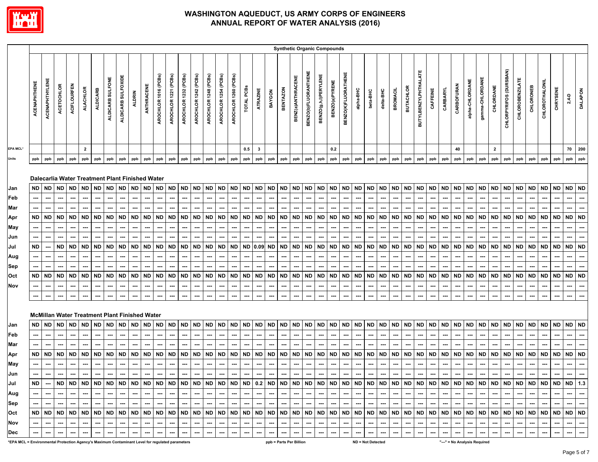

|                                                                                                 |                     |                       |                          |                                                              |                 |                 |                          |                          |                  |                          |                          |                          |                                                     |                          |                                                                                             |                      |                      |                          |                          |                    |                          | <b>Synthetic Organic Compounds</b> |                          |                             |                          |                            |                          |                          |                          |                          |                          |                      |                          |                  |                  |                              |                          |                          |                          |                                    |           |                          |           |                          |                          |
|-------------------------------------------------------------------------------------------------|---------------------|-----------------------|--------------------------|--------------------------------------------------------------|-----------------|-----------------|--------------------------|--------------------------|------------------|--------------------------|--------------------------|--------------------------|-----------------------------------------------------|--------------------------|---------------------------------------------------------------------------------------------|----------------------|----------------------|--------------------------|--------------------------|--------------------|--------------------------|------------------------------------|--------------------------|-----------------------------|--------------------------|----------------------------|--------------------------|--------------------------|--------------------------|--------------------------|--------------------------|----------------------|--------------------------|------------------|------------------|------------------------------|--------------------------|--------------------------|--------------------------|------------------------------------|-----------|--------------------------|-----------|--------------------------|--------------------------|
|                                                                                                 | <b>ACENAPHTHENE</b> | <b>ACENAPHTHYLENE</b> | <b>ACETOCHLOR</b>        | ACIFLOURFEN                                                  | <b>ALACHLOR</b> | <b>ALDICARB</b> | ALDICARB SULFONE         | ALDICARB SULFOXIDE       | <b>ALDRIN</b>    | ANTHRACENE               | AROCHLOR 1016 (PCBs)     | AROCHLOR 1221 (PCBs)     | AROCHLOR 1232 (PCBs)                                | AROCHLOR 1242 (PCBs)     | AROCHLOR 1248 (PCBs)                                                                        | AROCHLOR 1254 (PCBs) | AROCHLOR 1260 (PCBs) | TOTAL PCBS               | ATRAZINE                 | BAYGON             | <b>BENTAZON</b>          | BENZ(a)ANTHRACENE                  | BENZO(b)FLUORANTHENE     | <b>BENZO(g,h,i)PERYLENE</b> | BENZO(a)PYRENE           | <b>BENZO(K)FLUORATHENE</b> | alpha-BHC                | beta-BHC                 | delta-BHC                | <b>BROMACIL</b>          | <b>BUTACHLOR</b>         | BUTYLBENZYLPHTHALATE | CAFFEINE                 | CARBARYL         | CARBOFURAN       | alpha-CHLORDANE              | gamma-CHLORDANE          | CHLORDANE                | CHLORPYRIFOS (DURSBAN)   | <b>CHLOROBENZILATE</b>             | CHLORONEB | CHLOROTHALONIL           | CHRYSENE  | $2,4 - D$                | <b>DALAPON</b>           |
| EPA MCL*                                                                                        |                     |                       |                          |                                                              | $\overline{2}$  |                 |                          |                          |                  |                          |                          |                          |                                                     |                          |                                                                                             |                      |                      | 0.5                      | $\mathbf{3}$             |                    |                          |                                    |                          |                             | 0.2                      |                            |                          |                          |                          |                          |                          |                      |                          |                  | 40               |                              |                          | $\mathbf{2}$             |                          |                                    |           |                          |           | 70                       | 200                      |
| <b>Units</b>                                                                                    | ppb                 | ppb                   | ppb                      | ppb                                                          | ppb             | ppb             | ppb                      | ppb                      | ppb              | ppb                      | ppb                      | ppb                      | ppb                                                 | ppb                      | ppb                                                                                         | ppb                  | ppb                  | ppb                      | ppb                      | ppb                | ppb                      | ppb                                | ppb                      | ppb                         | ppb                      | ppb                        | ppb                      | ppb                      | ppb                      | ppb                      | ppb                      | ppb                  | ppb                      | ppb              | ppb              | ppb                          | ppb                      | ppb                      | ppb                      | ppb                                | ppb       | ppb                      | ppb       | ppb                      | ppb                      |
| Jan<br>Feb                                                                                      | ND                  | ND                    | <b>ND</b>                | Dalecarlia Water Treatment Plant Finished Water<br><b>ND</b> | <b>ND</b>       | <b>ND</b>       | <b>ND</b>                | <b>ND</b><br>---         | <b>ND</b><br>--- | <b>ND</b><br>…           | <b>ND</b><br>--          | <b>ND</b><br>---         | <b>ND</b><br>---                                    | <b>ND</b><br>---         | <b>ND</b>                                                                                   | <b>ND</b><br>---     | <b>ND</b>            | <b>ND</b><br>---         | <b>ND</b><br>---         | <b>ND</b><br>---   | ND<br>---                | <b>ND</b><br>---                   | <b>ND</b><br>---         | <b>ND</b><br>---            | <b>ND</b><br>---         | <b>ND</b><br>---           | <b>ND</b>                | <b>ND</b><br>---         | <b>ND</b><br>---         | <b>ND</b>                | <b>ND</b><br>---         | <b>ND</b><br>---     | <b>ND</b><br>---         | <b>ND</b><br>--- | <b>ND</b><br>--- | <b>ND</b><br>---             | <b>ND</b>                | ND<br>---                | <b>ND</b><br>---         | <b>ND</b><br>---                   | <b>ND</b> | ND                       | <b>ND</b> | <b>ND</b><br>---         | <b>ND</b>                |
| Mar                                                                                             |                     | ---                   | ---                      | ---                                                          | …               |                 |                          | ---                      | ---              |                          | --                       |                          | ---                                                 | ---                      |                                                                                             | ---                  |                      | ---                      | ---                      | ---                | ---                      | ---                                | ---                      | ---                         | ---                      | ---                        |                          | ---                      | ---                      |                          | ---                      | ---                  | ---                      | ---              |                  | ---                          |                          |                          | ---                      | ⊷                                  |           |                          |           | ---                      |                          |
| Apr                                                                                             | <b>ND</b>           | <b>ND</b>             | <b>ND</b>                | <b>ND</b>                                                    | <b>ND</b>       | <b>ND</b>       | ND.                      | <b>ND</b>                | <b>ND</b>        | <b>ND</b>                | <b>ND</b>                | <b>ND</b>                | <b>ND</b>                                           | <b>ND</b>                | <b>ND</b>                                                                                   | <b>ND</b>            | ND                   | <b>ND</b>                | <b>ND</b>                | <b>ND</b>          | <b>ND</b>                | ND                                 | <b>ND</b>                | <b>ND</b>                   | <b>ND</b>                | <b>ND</b>                  | ND                       | <b>ND</b>                | <b>ND</b>                | <b>ND</b>                | <b>ND</b>                | <b>ND</b>            | <b>ND</b>                | <b>ND</b>        | <b>ND</b>        | <b>ND</b>                    | <b>ND</b>                | <b>ND</b>                | <b>ND</b>                | ND.                                | <b>ND</b> | <b>ND</b>                | <b>ND</b> | <b>ND</b>                | <b>ND</b>                |
| May                                                                                             |                     |                       |                          |                                                              |                 |                 |                          |                          |                  |                          |                          |                          |                                                     | ---                      |                                                                                             |                      |                      |                          |                          |                    |                          |                                    |                          | ---                         |                          |                            |                          |                          |                          |                          |                          |                      |                          |                  |                  |                              |                          |                          |                          |                                    |           |                          |           |                          |                          |
| Jun                                                                                             |                     |                       |                          |                                                              |                 |                 |                          |                          |                  |                          |                          |                          |                                                     |                          |                                                                                             |                      |                      |                          |                          |                    |                          |                                    |                          |                             |                          |                            |                          |                          |                          |                          |                          |                      |                          |                  |                  |                              |                          |                          |                          |                                    |           |                          |           |                          |                          |
| Jul                                                                                             | <b>ND</b>           | ---                   | ND                       | <b>ND</b>                                                    | <b>ND</b>       | ND              | ND                       | <b>ND</b>                | <b>ND</b>        | <b>ND</b>                | ND                       | <b>ND</b>                | <b>ND</b>                                           | <b>ND</b>                | <b>ND</b>                                                                                   | <b>ND</b>            | ND                   | <b>ND</b>                | 0.09                     | <b>ND</b>          | ND                       | ND                                 | <b>ND</b>                | <b>ND</b>                   | ND                       | <b>ND</b>                  | ND                       | <b>ND</b>                | <b>ND</b>                | <b>ND</b>                | <b>ND</b>                | <b>ND</b>            | <b>ND</b>                | <b>ND</b>        | <b>ND</b>        | ND                           | <b>ND</b>                | <b>ND</b>                | <b>ND</b>                | ND                                 | <b>ND</b> | <b>ND</b>                | <b>ND</b> | <b>ND</b>                | <b>ND</b>                |
| Aug                                                                                             |                     | ---                   | ---                      |                                                              |                 |                 |                          | ---                      | ---              | …                        | --                       |                          | ---                                                 | ---                      | ---                                                                                         | ---                  |                      | ---                      | ---                      | ---                | ---                      |                                    | ---                      | ---                         | ---                      | ---                        |                          | ---                      | ---                      |                          | ---                      |                      | ---                      | ---              | ---              | --                           |                          | ---                      | ---                      |                                    |           |                          |           | ---                      | …                        |
| Sep                                                                                             |                     |                       |                          |                                                              |                 |                 |                          |                          |                  |                          |                          |                          |                                                     |                          |                                                                                             |                      |                      |                          |                          |                    |                          |                                    |                          |                             |                          |                            |                          |                          |                          |                          |                          |                      |                          |                  |                  |                              |                          |                          |                          |                                    |           |                          |           |                          |                          |
| Oct                                                                                             | <b>ND</b>           | <b>ND</b>             | <b>ND</b>                | <b>ND</b>                                                    | <b>ND</b>       | <b>ND</b>       | ND                       | <b>ND</b>                | <b>ND</b>        | <b>ND</b>                | <b>ND</b>                | <b>ND</b>                | <b>ND</b>                                           | <b>ND</b>                | <b>ND</b>                                                                                   | <b>ND</b>            | ND                   | <b>ND</b>                | <b>ND</b>                | <b>ND</b>          | <b>ND</b>                | <b>ND</b>                          | <b>ND</b>                | <b>ND</b>                   | <b>ND</b>                | <b>ND</b>                  | ND                       | <b>ND</b>                | <b>ND</b>                | <b>ND</b>                | <b>ND</b>                | <b>ND</b>            | <b>ND</b>                | <b>ND</b>        | <b>ND</b>        | <b>ND</b>                    | <b>ND</b>                | <b>ND</b>                | <b>ND</b>                | ND.                                | <b>ND</b> | <b>ND</b>                | <b>ND</b> | <b>ND</b>                | <b>ND</b>                |
| Nov                                                                                             |                     |                       |                          |                                                              |                 |                 |                          |                          | ---              |                          | ---                      |                          | ---                                                 | ---                      |                                                                                             |                      |                      |                          |                          |                    |                          |                                    |                          | ---                         |                          |                            |                          |                          | ---                      |                          |                          |                      |                          |                  |                  |                              |                          |                          | ---                      |                                    |           |                          |           | ---                      |                          |
|                                                                                                 |                     |                       | ---                      | ---                                                          |                 |                 |                          |                          | ---              |                          |                          |                          |                                                     | ---                      |                                                                                             |                      |                      |                          |                          |                    |                          |                                    |                          | ---                         |                          |                            |                          |                          | ---                      |                          |                          |                      |                          |                  |                  |                              |                          |                          |                          |                                    |           |                          |           |                          |                          |
|                                                                                                 |                     |                       |                          | <b>McMillan Water Treatment Plant Finished Water</b>         |                 |                 |                          |                          |                  |                          |                          |                          |                                                     |                          |                                                                                             |                      |                      |                          |                          |                    |                          |                                    |                          |                             |                          |                            |                          |                          |                          |                          |                          |                      |                          |                  |                  |                              |                          |                          |                          |                                    |           |                          |           |                          |                          |
| Jan                                                                                             | ND.                 | ND.                   | <b>ND</b>                | ND                                                           | <b>ND</b>       | ND              | ND                       | <b>ND</b>                | ND               | ND                       | <b>ND</b>                | <b>ND</b>                | <b>ND</b>                                           | <b>ND</b>                | <b>ND</b>                                                                                   | <b>ND</b>            | ND                   | <b>ND</b>                | <b>ND</b>                | ND                 | ND                       | <b>ND</b>                          | <b>ND</b>                | <b>ND</b>                   | ND                       | ND                         | <b>ND</b>                | <b>ND</b>                | <b>ND</b>                | <b>ND</b>                | <b>ND</b>                | ND                   | <b>ND</b>                | <b>ND</b>        | ND               | <b>ND</b>                    | ND                       | <b>ND</b>                | <b>ND</b>                | ND                                 | <b>ND</b> | <b>ND</b>                | <b>ND</b> | <b>ND</b>                | ND                       |
| Feb                                                                                             |                     | ---                   | ---                      | ---                                                          | ---             | ---             | ---                      | ---                      | ---              | ---                      | ---                      | ---                      | ---                                                 | ---                      | ---                                                                                         | ---                  | ---                  | ---                      | ---                      | ---                | ---                      | ---                                | ---                      | ---                         | ---                      | ---                        | ---                      | ---                      | ---                      | ---                      | ---                      | ---                  | $\hspace{0.05cm} \ldots$ | ---              | ---              | ---                          | ---                      | ---                      | ---                      | ---                                | ---       | ---                      | ---       | ---                      | …                        |
| Mar                                                                                             |                     |                       |                          |                                                              |                 |                 |                          |                          |                  |                          |                          |                          |                                                     |                          |                                                                                             |                      |                      |                          |                          |                    |                          |                                    |                          | ---                         |                          |                            |                          |                          |                          |                          |                          |                      |                          |                  |                  |                              |                          |                          |                          |                                    |           |                          |           |                          |                          |
| Apr                                                                                             | ND                  | ND                    | <b>ND</b>                | <b>ND</b>                                                    | <b>ND</b>       | ND              | ND                       | <b>ND</b>                | ND               | ND                       | ND                       | ND.                      | <b>ND</b>                                           | <b>ND</b>                | ND                                                                                          | ND                   | ND.                  | <b>ND</b>                | <b>ND</b>                | <b>ND</b>          | ND                       | ND                                 | <b>ND</b>                | <b>ND</b>                   | ND                       | ND                         | ND                       | <b>ND</b>                | <b>ND</b>                | <b>ND</b>                | ND                       | ND                   | <b>ND</b>                | <b>ND</b>        | ND               | ND                           | ND                       | <b>ND</b>                | ND                       | ND                                 | ND        | ND                       | <b>ND</b> | <b>ND</b>                | <b>ND</b>                |
| May                                                                                             |                     | ---                   | ---                      | ---                                                          | ---             |                 | ---                      | ---                      | ---              | ---                      | ---                      | $\hspace{0.05cm} \cdots$ | ---                                                 | ---                      | ---                                                                                         | ---                  | ---                  | ---                      | ---                      | ---                | ---                      | ---                                | ---                      | $\hspace{0.05cm} \cdots$    | ---                      | ---                        | ---                      | ---                      | ---                      | ---                      | ---                      | ---                  | ---                      | ---              | ---              | ---                          | ---                      | ---                      | ---                      | ---                                | ---       | ---                      | ---       | ---                      | ---                      |
| Jun                                                                                             |                     | ---                   | ---                      | ---                                                          | ---             |                 |                          | ---                      | ---              | ---                      | ---                      | ---                      | ---                                                 | ---                      | ---                                                                                         | ---                  |                      | ---                      | ---                      | ---                | ---                      | ---                                | ---                      | $\hspace{0.05cm} \cdots$    | ---                      | ---                        | ---                      | ---                      | ---                      | ---                      | ---                      | ---                  | ---                      | ---              | ---              | ---                          | ---                      |                          | ---                      | ---                                |           |                          |           |                          |                          |
| Jul                                                                                             | ND I                |                       |                          |                                                              |                 |                 |                          |                          |                  |                          |                          |                          |                                                     |                          |                                                                                             |                      |                      |                          |                          |                    |                          |                                    |                          |                             |                          |                            |                          |                          |                          |                          |                          |                      |                          |                  |                  |                              |                          |                          |                          |                                    |           |                          |           |                          |                          |
| Aug                                                                                             |                     | $\sim$                | $\sim$                   | $\sim$                                                       | --- 1           | $\sim$          | $\sim$                   | $\sim$                   | --- 1            |                          | $\frac{1}{2}$            |                          | $\overline{\phantom{a}}$ . $\overline{\phantom{a}}$ |                          | $\cdots\vert\, \mathop{\cdots}\, \vert\, \mathop{\cdots}\, \vert\, \mathop{\cdots}\, \vert$ |                      | $\sim$               | . <b>.</b>               |                          | المسارا مسارا مسار |                          | $-1$                               |                          |                             |                          | $     -$                   |                          | $\overline{\phantom{a}}$ | $\overline{\phantom{a}}$ |                          | المسارا للمبرا المسر     |                      | ---                      |                  |                  | $-1 - 1 - 1 - 1$             | $\sim$                   | $\sim$ 1                 |                          | $\sim$ $\sim$ $\sim$ $\sim$ $\sim$ | $\sim$    | $\sim$                   | $\sim$    | $\sim$                   | $\sim$                   |
| <b>Sep</b>                                                                                      |                     | $\cdots$              | $\overline{\phantom{a}}$ | $\sim$                                                       | --- 1           | $---$           | ا سا                     | $\sim$                   | $\sim$           |                          | $-1$ and $-1$            | $\sim$                   | $\sim$                                              | $\sim$                   |                                                                                             | $-1 - 1$             | $\sim$               | I                        | --- 1                    | $-1$               | $\sim$                   | $\sim$                             | $\sim$                   | --- 1                       | I                        | --- 1                      | --- 1                    | $\sim$                   | $\sim$                   | --- 1                    | $-1$                     | $\sim$               | --- 1                    | $\sim$           |                  | $-1 - 1$                     | $\sim$                   | --- 1                    | --- 1                    | . 1                                | $\sim$    | المسا                    | $\sim$    | $\sim$                   | $\cdots$                 |
| Oct                                                                                             |                     |                       |                          |                                                              |                 |                 |                          |                          |                  |                          |                          |                          |                                                     |                          |                                                                                             |                      |                      |                          |                          |                    |                          |                                    |                          |                             |                          |                            |                          |                          |                          |                          |                          |                      |                          |                  |                  |                              |                          |                          |                          |                                    |           |                          |           |                          |                          |
| Nov                                                                                             |                     | ---                   |                          | $\sim$                                                       | $\sim$          |                 | $\overline{\phantom{a}}$ | $\sim$                   | $\sim$           | — I                      | $\sim$                   | $\sim$                   | $\sim$                                              | $\cdots$                 | $\sim$                                                                                      | $\sim$               | $\cdots$             | $\sim$                   | $\sim$                   | --- 1              | $\sim$                   | $\overline{\phantom{a}}$           | $\overline{\phantom{a}}$ | $\overline{\phantom{a}}$    | $\cdots$                 | $\sim$                     | $\overline{\phantom{a}}$ | $\sim$                   | $\sim$                   | $\overline{\phantom{a}}$ | $\hspace{0.05cm} \ldots$ | $\sim$               | $\sim$                   | $\sim$           | --- 1            | $\sim$ $\sim$                | $\sim$                   | $\sim$                   | $\sim$                   | $\sim$                             |           | $\hspace{0.05cm} \ldots$ | $\sim$    | $\sim$                   | $\overline{\phantom{a}}$ |
| Dec                                                                                             |                     |                       |                          |                                                              |                 |                 |                          | $\hspace{0.05cm} \cdots$ |                  | $\overline{\phantom{a}}$ | $\overline{\phantom{a}}$ | $\hspace{0.05cm} \cdots$ | $\hspace{0.05cm} \cdots$                            | $\hspace{0.05cm} \cdots$ | $\sim$                                                                                      | $\cdots$             |                      | $\hspace{0.05cm} \cdots$ | $\hspace{0.05cm} \cdots$ | $\cdots$           | $\hspace{0.05cm} \cdots$ |                                    |                          | ---                         | $\hspace{0.05cm} \cdots$ | $\cdots$                   | $\sim$                   | $\hspace{0.05cm} \cdots$ | $\hspace{0.05cm} \cdots$ |                          | $\hspace{0.05cm} \cdots$ | $\cdots$             | $\overline{\phantom{a}}$ | $\sim$           | $\sim$           | $\cdots$                     | $\hspace{0.05cm} \cdots$ | $\hspace{0.05cm} \cdots$ | $\hspace{0.05cm} \cdots$ | $\sim$                             |           | $\cdots$                 | $\sim$    | $\hspace{0.05cm} \cdots$ | $\sim$                   |
| *EPA MCL = Environmental Protection Agency's Maximum Contaminant Level for regulated parameters |                     |                       |                          |                                                              |                 |                 |                          |                          |                  |                          |                          |                          |                                                     |                          |                                                                                             |                      |                      |                          |                          |                    |                          | ppb = Parts Per Billion            |                          |                             |                          |                            |                          | ND = Not Detected        |                          |                          |                          |                      |                          |                  |                  | "---" = No Analysis Required |                          |                          |                          |                                    |           |                          |           |                          |                          |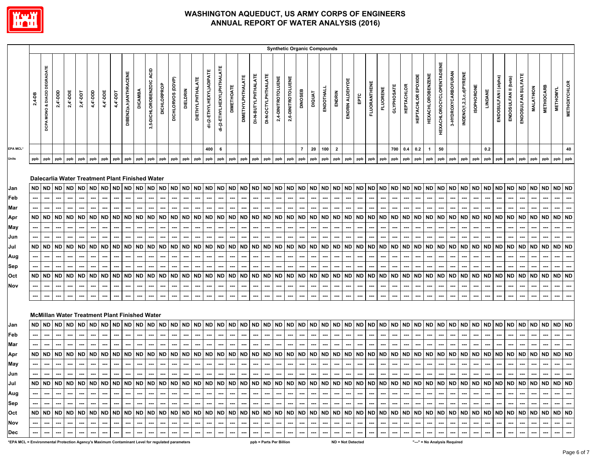

|                                                                                                 |                           |                                               |                                                     |                                                         |                                              |                          |                                                  |                                                         |                       |                                                                                                                                                                      |                                                                |                                                                                     |                                                                              |                                                       |                                           |                                                  |                               |                                                 |                          |                                                                       |                                                  |                                                 |                                              |                               | <b>Synthetic Organic Compounds</b>  |                                                  |                                                         |                                                         |                                                                              |                                                         |                                                                                     |                                          |                          |                                                  |                                                                              |                                  |                                       |                                          |                                                         |                          |                                           |                                     |                                           |                                                  |                                                  |                                 |                          |
|-------------------------------------------------------------------------------------------------|---------------------------|-----------------------------------------------|-----------------------------------------------------|---------------------------------------------------------|----------------------------------------------|--------------------------|--------------------------------------------------|---------------------------------------------------------|-----------------------|----------------------------------------------------------------------------------------------------------------------------------------------------------------------|----------------------------------------------------------------|-------------------------------------------------------------------------------------|------------------------------------------------------------------------------|-------------------------------------------------------|-------------------------------------------|--------------------------------------------------|-------------------------------|-------------------------------------------------|--------------------------|-----------------------------------------------------------------------|--------------------------------------------------|-------------------------------------------------|----------------------------------------------|-------------------------------|-------------------------------------|--------------------------------------------------|---------------------------------------------------------|---------------------------------------------------------|------------------------------------------------------------------------------|---------------------------------------------------------|-------------------------------------------------------------------------------------|------------------------------------------|--------------------------|--------------------------------------------------|------------------------------------------------------------------------------|----------------------------------|---------------------------------------|------------------------------------------|---------------------------------------------------------|--------------------------|-------------------------------------------|-------------------------------------|-------------------------------------------|--------------------------------------------------|--------------------------------------------------|---------------------------------|--------------------------|
|                                                                                                 | 2,4-DB                    | MONO & DIACID DEGRADATE<br>DCPA               | $2,4$ -DDD                                          | $2,4$ '-DDE                                             | $2,4 -$ DDT                                  | 4,4'-DDD                 | 4,4'-DDE                                         | 4,4'-DDT                                                | DIBENZ(a,h)ANTHRACENE | <b>DICAMBA</b>                                                                                                                                                       | 3,5-DICHLOROBENZOIC ACID                                       | <b>DICHLORPROP</b>                                                                  | DICHLORVOS (DDVP)                                                            | <b>DIELDRIN</b>                                       | <b>DIETHYLPHTHALATE</b>                   | di-(2-ETHYLHEXYL)ADIPATE                         | di-(2-ETHYLHEXYL)PHTHALATE    | <b>DIMETHOATE</b>                               | <b>DIMETHYLPHTHALATE</b> | DI-N-BUTYLPHTHALATE                                                   | DI-N-OCTYLPHTHALATE                              | 2,4-DINITROTOLUENE                              | 2,6-DINITROTOLUENE                           | DINOSEB                       | <b>DIQUAT</b>                       | ENDOTHALL                                        | ENDRIN                                                  | ENDRIN ALDEHYDE                                         | EРTC                                                                         | <b>FLUORANTHENE</b>                                     | <b>FLUORENE</b>                                                                     | <b>GLYPHOSATE</b>                        | <b>HEPTACHLOR</b>        | <b>HEPTACHLOR EPOXIDE</b>                        | <b>HEXACHLOROBENZENE</b>                                                     | <b>HEXACHLOROCYCLOPENTADIENE</b> | 3-HYDROXYCARBOFURAN                   | INDENO(1,2,3,c,d)PYRENE                  | <b>ISOPHORONE</b>                                       | LINDANE                  | ENDOSULFAN I (alpha)                      | ENDOSULFAN II (beta)                | ENDOSULFAN SULFATE                        | <b>MALATHION</b>                                 | <b>METHIOCARB</b>                                | <b>METHOMYL</b>                 | <b>METHOXYCHLOR</b>      |
| EPA MCL*                                                                                        |                           |                                               |                                                     |                                                         |                                              |                          |                                                  |                                                         |                       |                                                                                                                                                                      |                                                                |                                                                                     |                                                                              |                                                       |                                           | 400                                              | 6                             |                                                 |                          |                                                                       |                                                  |                                                 |                                              | $\overline{7}$                | 20                                  | 100                                              | $\overline{2}$                                          |                                                         |                                                                              |                                                         |                                                                                     | 700                                      | 0.4                      | 0.2                                              | $\mathbf{1}$                                                                 | 50                               |                                       |                                          |                                                         | 0.2                      |                                           |                                     |                                           |                                                  |                                                  |                                 | 40                       |
| Units                                                                                           | ppb                       | ppb                                           | ppb                                                 | ppb                                                     | ppb                                          | ppb                      | ppb                                              | ppb                                                     | ppb                   | ppb                                                                                                                                                                  | ppb                                                            | ppb                                                                                 | ppb                                                                          | ppb                                                   | ppb                                       | ppb                                              | ppb                           | ppb                                             | ppb                      | ppb                                                                   | ppb                                              | ppb                                             | ppb                                          | ppb                           | ppb                                 | ppb                                              | ppb                                                     | ppb                                                     | ppb                                                                          | ppb                                                     | ppb                                                                                 | ppb                                      | ppb                      | ppb                                              | ppb                                                                          | ppb                              | ppb                                   | ppb                                      | ppb                                                     | ppb                      | ppb                                       | ppb                                 | ppb                                       | ppb                                              | ppb                                              | ppb                             | ppb                      |
| Jan<br>Feb<br>Mar<br>Apr<br>May<br>Jun<br>Jul<br>Aug<br>Sep<br>Oct<br>Nov                       | ND  <br>ND  <br>ND<br>--- | ND ND<br>---<br>---<br><b>ND</b><br>ND<br>--- | ND<br>---<br>ND ND<br><b>ND</b><br><b>ND</b><br>--- | <b>ND</b><br>---<br><b>ND</b><br>ND<br><b>ND</b><br>--- | ND ND<br><b>ND</b><br><b>ND</b><br><b>ND</b> | ND.<br>ND<br><b>ND</b>   | <b>ND</b><br><b>ND</b><br><b>ND</b><br><b>ND</b> | <b>ND</b><br><b>ND</b><br><b>ND</b><br><b>ND</b><br>--- | <b>ND</b><br>---      | Dalecarlia Water Treatment Plant Finished Water<br>ND ND<br>ND ND<br>ND ND<br>---<br><b>ND</b><br>---<br>---<br><b>McMillan Water Treatment Plant Finished Water</b> | <b>ND</b><br><b>ND</b><br><b>ND</b><br><b>ND</b><br>---<br>--- | <b>ND</b><br><b>ND</b><br>---<br><b>ND</b><br>---<br>---<br><b>ND</b><br>---<br>--- | <b>ND</b><br>---<br><b>ND</b><br><b>ND</b><br>---<br><b>ND</b><br>---<br>--- | <b>ND</b><br><b>ND</b><br><b>ND</b><br><b>ND</b><br>⊷ | <b>ND</b><br><b>ND</b><br>ND<br><b>ND</b> | <b>ND</b><br><b>ND</b><br><b>ND</b><br><b>ND</b> | <b>ND</b><br><b>ND</b><br>--- | <b>ND</b><br>ND ND<br>ND ND<br><b>ND</b><br>--- | ND  <br>ND  <br>…        | ND ND<br>⊷<br>⊷<br>ND ND<br><b>ND</b><br>⊷<br>---<br><b>ND</b><br>--- | ND<br><b>ND</b><br><b>ND</b><br><b>ND</b><br>--- | <b>ND</b><br>--<br><b>ND</b><br>ND<br><b>ND</b> | ND ND<br>ND<br><b>ND</b><br><b>ND</b><br>--- | <b>ND</b><br>ND.<br><b>ND</b> | <b>ND</b><br>ND.<br>ND<br><b>ND</b> | <b>ND</b><br><b>ND</b><br><b>ND</b><br><b>ND</b> | <b>ND</b><br><b>ND</b><br><b>ND</b><br><b>ND</b><br>--- | <b>ND</b><br><b>ND</b><br><b>ND</b><br><b>ND</b><br>--- | <b>ND</b><br>---<br><b>ND</b><br>---<br>ND<br>---<br><b>ND</b><br>---<br>--- | <b>ND</b><br><b>ND</b><br><b>ND</b><br><b>ND</b><br>--- | <b>ND</b><br>---<br><b>ND</b><br><b>ND</b><br>---<br>---<br><b>ND</b><br>---<br>--- | ND ND<br><b>ND</b><br>ND ND<br><b>ND</b> | <b>ND</b><br><b>ND</b>   | <b>ND</b><br><b>ND</b><br><b>ND</b><br><b>ND</b> | <b>ND</b><br>---<br><b>ND</b><br><b>ND</b><br>---<br>---<br><b>ND</b><br>--- | ND ND<br>---                     | ND ND<br>ND ND<br>---<br>ND ND<br>--- | <b>ND</b><br>ND<br>ND.<br><b>ND</b><br>⊷ | <b>ND</b><br>---<br><b>ND</b><br><b>ND</b><br><b>ND</b> | ND  <br>ND  <br>ND<br>ND | <b>ND</b><br><b>ND</b><br>ND<br><b>ND</b> | <b>ND</b><br>ND.<br>ND<br><b>ND</b> | <b>ND</b><br><b>ND</b><br>ND<br><b>ND</b> | <b>ND</b><br><b>ND</b><br><b>ND</b><br><b>ND</b> | <b>ND</b><br><b>ND</b><br><b>ND</b><br><b>ND</b> | ND ND<br>ND ND<br>ND  <br>ND ND | <b>ND</b>                |
| Jan                                                                                             | ND I                      | <b>ND</b>                                     | <b>ND</b>                                           | <b>ND</b>                                               | <b>ND</b>                                    | ND                       | <b>ND</b>                                        | <b>ND</b>                                               |                       | ND ND                                                                                                                                                                | <b>ND</b>                                                      | <b>ND</b>                                                                           | <b>ND</b>                                                                    | <b>ND</b>                                             | <b>ND</b>                                 | <b>ND</b>                                        | <b>ND</b>                     | <b>ND</b>                                       | ND                       | <b>ND</b>                                                             | <b>ND</b>                                        | <b>ND</b>                                       | ND ND                                        |                               | ND                                  | <b>ND</b>                                        | <b>ND</b>                                               | <b>ND</b>                                               | <b>ND</b>                                                                    | <b>ND</b>                                               | <b>ND</b>                                                                           | <b>ND</b>                                | <b>ND</b>                | <b>ND</b>                                        | <b>ND</b>                                                                    | ND ND                            |                                       | <b>ND</b>                                | <b>ND</b>                                               | ND                       | <b>ND</b>                                 | <b>ND</b>                           | <b>ND</b>                                 | <b>ND</b>                                        | <b>ND</b>                                        | ND ND                           |                          |
| Feb                                                                                             |                           |                                               | ---                                                 |                                                         |                                              |                          |                                                  |                                                         |                       |                                                                                                                                                                      |                                                                |                                                                                     |                                                                              |                                                       |                                           |                                                  |                               |                                                 |                          |                                                                       |                                                  |                                                 |                                              |                               |                                     |                                                  |                                                         |                                                         |                                                                              |                                                         | ---                                                                                 |                                          |                          |                                                  |                                                                              |                                  |                                       |                                          |                                                         |                          |                                           |                                     |                                           |                                                  |                                                  |                                 |                          |
| Mar                                                                                             |                           |                                               |                                                     |                                                         |                                              |                          |                                                  |                                                         |                       |                                                                                                                                                                      |                                                                |                                                                                     |                                                                              |                                                       |                                           |                                                  |                               |                                                 |                          |                                                                       |                                                  |                                                 |                                              |                               |                                     |                                                  |                                                         |                                                         |                                                                              |                                                         |                                                                                     |                                          |                          |                                                  |                                                                              |                                  |                                       |                                          |                                                         |                          |                                           |                                     |                                           |                                                  |                                                  |                                 |                          |
| Apr                                                                                             |                           | ND ND ND                                      |                                                     | <b>ND</b>                                               | ND                                           | ND                       | <b>ND</b>                                        | <b>ND</b>                                               |                       | ND ND                                                                                                                                                                | <b>ND</b>                                                      | <b>ND</b>                                                                           | <b>ND</b>                                                                    | <b>ND</b>                                             | ND ND                                     |                                                  |                               | ND ND                                           |                          | ND ND                                                                 | ND                                               | <b>ND</b>                                       | ND ND                                        |                               | <b>ND</b>                           | <b>ND</b>                                        | <b>ND</b>                                               | <b>ND</b>                                               | <b>ND</b>                                                                    | <b>ND</b>                                               | <b>ND</b>                                                                           | ND ND                                    |                          | <b>ND</b>                                        | <b>ND</b>                                                                    |                                  | ND ND ND                              |                                          | <b>ND</b>                                               | <b>ND</b>                | <b>ND</b>                                 | ND                                  | <b>ND</b>                                 | <b>ND</b>                                        | <b>ND</b>                                        | ND ND                           |                          |
| <b>May</b>                                                                                      |                           | ---                                           | ---                                                 |                                                         |                                              |                          |                                                  |                                                         |                       | ---                                                                                                                                                                  | ---                                                            | ---                                                                                 |                                                                              | ---                                                   |                                           | ---                                              | ---                           |                                                 | ⊷                        | ⊷                                                                     | ---                                              |                                                 | ---                                          |                               |                                     |                                                  |                                                         |                                                         | ---                                                                          |                                                         | ---                                                                                 |                                          |                          | ---                                              | ---                                                                          | ---                              | ---                                   | ⊷                                        |                                                         |                          |                                           |                                     |                                           |                                                  |                                                  |                                 |                          |
| Jun                                                                                             |                           |                                               | ---                                                 |                                                         |                                              |                          |                                                  |                                                         |                       |                                                                                                                                                                      | ---                                                            |                                                                                     | ---                                                                          |                                                       |                                           |                                                  | ---                           |                                                 |                          | ---                                                                   |                                                  |                                                 |                                              |                               |                                     |                                                  |                                                         |                                                         |                                                                              | ---                                                     |                                                                                     |                                          |                          |                                                  | ---                                                                          |                                  |                                       |                                          |                                                         |                          |                                           |                                     |                                           |                                                  |                                                  |                                 |                          |
| Jul                                                                                             |                           | $\sim$                                        | $\sim$                                              | $---$                                                   | $\overline{\phantom{a}}$                     | $---$                    | $---$                                            | $\hspace{0.05cm} \ldots$                                | $\sim$ $\sim$         | $\sim$                                                                                                                                                               | $\sim$                                                         | $\sim$                                                                              | $\overline{\phantom{a}}$                                                     | $\hspace{0.05cm} \cdots$                              | $\cdots$                                  | $\hspace{0.05cm} \ldots$                         | $\sim$                        | $\hspace{0.05cm} \cdots$                        | $\hspace{0.05cm} \cdots$ | $\sim$                                                                | $\sim$                                           | $\cdots$                                        | $\cdots$                                     | $\sim$                        | $\sim$                              | $\cdots$                                         | $\sim$                                                  | $\sim$                                                  | $\overline{\phantom{a}}$                                                     | $\sim$                                                  | $\cdots$                                                                            | $\overline{\phantom{a}}$                 | $\overline{\phantom{a}}$ | $\sim$                                           | $\sim$                                                                       | $\sim$                           | $\sim$ $\sim$                         | $\sim$ $\sim$                            | $\cdots$                                                | $\sim$                   | $\overline{\phantom{a}}$                  | ---                                 | $\hspace{0.05cm} \ldots$                  | $\cdots$                                         | $\sim$                                           | $\sim$                          | $\sim$                   |
| Aug<br>Sep                                                                                      |                           | $\sim$                                        | --- I                                               | $\sim$                                                  | ---                                          | ---                      | $---$                                            | $\sim$                                                  |                       | $\overline{\phantom{a}}$                                                                                                                                             |                                                                | $\hspace{0.05cm} \ldots$                                                            | $\overline{\phantom{a}}$                                                     |                                                       |                                           | $\overline{\phantom{a}}$                         | $\sim$                        | $\overline{\phantom{a}}$                        | --- I                    | $\sim$                                                                | $-1$                                             | $\overline{\phantom{a}}$                        | $\sim$                                       |                               | $\overline{\phantom{a}}$            | $\hspace{0.05cm} \ldots$                         | $\sim$                                                  | $\sim$                                                  | $\sim$                                                                       | $\overline{\phantom{a}}$                                | $\overline{\phantom{a}}$                                                            |                                          |                          | $\overline{\phantom{a}}$                         |                                                                              |                                  |                                       | $\sim$                                   | $\overline{\phantom{a}}$                                | $-$                      | ---                                       |                                     |                                           | $\sim$                                           |                                                  | $\overline{\phantom{a}}$        | $\overline{\phantom{a}}$ |
| Oct                                                                                             |                           |                                               |                                                     |                                                         |                                              |                          |                                                  |                                                         |                       |                                                                                                                                                                      |                                                                |                                                                                     |                                                                              |                                                       |                                           |                                                  |                               |                                                 |                          |                                                                       |                                                  |                                                 |                                              |                               |                                     |                                                  |                                                         |                                                         |                                                                              |                                                         |                                                                                     |                                          |                          |                                                  |                                                                              |                                  |                                       |                                          |                                                         |                          |                                           |                                     |                                           |                                                  |                                                  |                                 |                          |
| Nov                                                                                             |                           | $\hspace{0.05cm} \ldots$                      | ---                                                 | $\hspace{0.05cm} \ldots$                                |                                              | $\hspace{0.05cm} \ldots$ | ---                                              | $\overline{\phantom{a}}$                                | ---                   | ---                                                                                                                                                                  | ---                                                            | $\overline{a}$                                                                      | ---                                                                          | ---                                                   | ---                                       | ---                                              | ---                           | ---                                             | ---                      | ---                                                                   | ---                                              | ---                                             | ---                                          |                               | ---                                 | ---                                              | $\hspace{0.05cm} \cdots$                                | ---                                                     | $\sim$                                                                       |                                                         | ---                                                                                 | ---                                      | ---                      | ---                                              | $\hspace{0.05cm} \cdots$                                                     | $\hspace{0.05cm} \ldots$         | ---                                   | ---                                      | ---                                                     | $\sim$ $\sim$            |                                           | ---                                 |                                           | ---                                              |                                                  | ---                             | $\overline{\phantom{a}}$ |
| Dec                                                                                             |                           | ---                                           |                                                     |                                                         |                                              |                          |                                                  |                                                         |                       |                                                                                                                                                                      |                                                                |                                                                                     | ---                                                                          | ---                                                   | ---                                       | ---                                              | ---                           | ---                                             | ---                      | ---                                                                   | $\hspace{0.05cm} \ldots$                         | ---                                             |                                              |                               |                                     | ---                                              | ---                                                     | ---                                                     | ---                                                                          | ---                                                     | ---                                                                                 | ---                                      | ---                      | ---                                              | $\hspace{0.05cm} \cdots$                                                     | $\hspace{0.05cm} \cdots$         | ---                                   | ---                                      | ---                                                     | ---                      | ---                                       |                                     |                                           | ---                                              | $\overline{\phantom{a}}$                         | $\hspace{0.05cm} \ldots$        | $\cdots$                 |
| *EPA MCL = Environmental Protection Agency's Maximum Contaminant Level for regulated parameters |                           |                                               |                                                     |                                                         |                                              |                          |                                                  |                                                         |                       |                                                                                                                                                                      |                                                                |                                                                                     |                                                                              |                                                       |                                           |                                                  |                               |                                                 |                          |                                                                       | ppb = Parts Per Billion                          |                                                 |                                              |                               |                                     |                                                  |                                                         | ND = Not Detected                                       |                                                                              |                                                         |                                                                                     |                                          |                          |                                                  | "---" = No Analysis Required                                                 |                                  |                                       |                                          |                                                         |                          |                                           |                                     |                                           |                                                  |                                                  |                                 |                          |